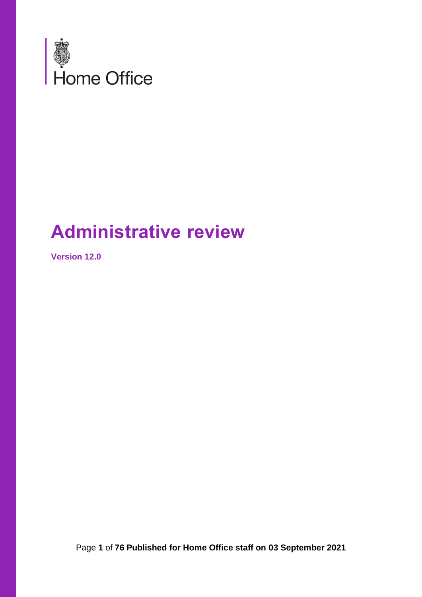

# **Administrative review**

**Version 12.0**

Page **1** of **76 Published for Home Office staff on 03 September 2021**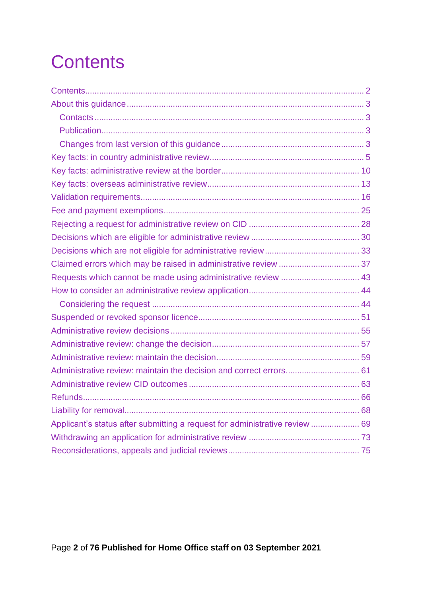# <span id="page-1-0"></span>**Contents**

| Requests which cannot be made using administrative review  43               |  |
|-----------------------------------------------------------------------------|--|
|                                                                             |  |
|                                                                             |  |
|                                                                             |  |
|                                                                             |  |
|                                                                             |  |
|                                                                             |  |
|                                                                             |  |
|                                                                             |  |
|                                                                             |  |
|                                                                             |  |
| Applicant's status after submitting a request for administrative review  69 |  |
|                                                                             |  |
|                                                                             |  |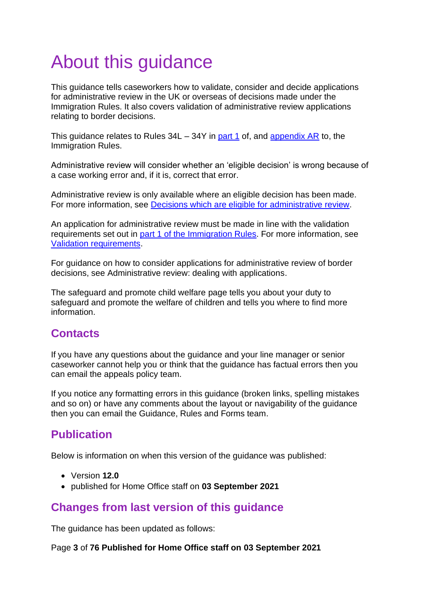# <span id="page-2-0"></span>About this guidance

This guidance tells caseworkers how to validate, consider and decide applications for administrative review in the UK or overseas of decisions made under the Immigration Rules. It also covers validation of administrative review applications relating to border decisions.

This guidance relates to Rules  $34L - 34Y$  in [part 1](https://www.gov.uk/guidance/immigration-rules/immigration-rules-part-1-leave-to-enter-or-stay-in-the-uk) of, and [appendix AR](https://www.gov.uk/guidance/immigration-rules/immigration-rules-appendix-ar-administrative-review) to, the Immigration Rules.

Administrative review will consider whether an 'eligible decision' is wrong because of a case working error and, if it is, correct that error.

Administrative review is only available where an eligible decision has been made. For more information, see [Decisions which are eligible for](#page-15-0) administrative review.

An application for administrative review must be made in line with the validation requirements set out in part [1 of the Immigration Rules.](https://www.gov.uk/guidance/immigration-rules/immigration-rules-part-1-leave-to-enter-or-stay-in-the-uk) For more information, see [Validation requirements.](#page-42-1)

For guidance on how to consider applications for administrative review of border decisions, see Administrative review: dealing with applications.

[The](https://horizon.fcos.gsi.gov.uk/policy/safeguard-and-promote-child-welfare) safeguard and promote child welfare page tells you about your duty to safeguard and promote the welfare of children and tells you where to find more information.

### <span id="page-2-1"></span>**Contacts**

If you have any questions about the guidance and your line manager or senior caseworker cannot help you or think that the guidance has factual errors then you can email the appeals policy team.

If you notice any formatting errors in this guidance (broken links, spelling mistakes and so on) or have any comments about the layout or navigability of the guidance then you can email the Guidance, Rules and Forms team.

### <span id="page-2-2"></span>**Publication**

Below is information on when this version of the guidance was published:

- Version **12.0**
- published for Home Office staff on **03 September 2021**

### <span id="page-2-3"></span>**Changes from last version of this guidance**

The guidance has been updated as follows:

Page **3** of **76 Published for Home Office staff on 03 September 2021**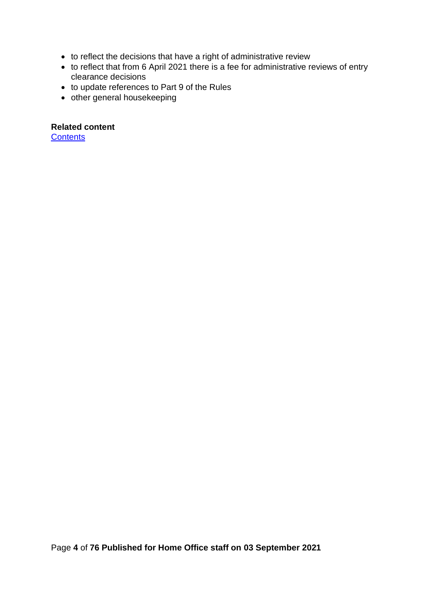- to reflect the decisions that have a right of administrative review
- to reflect that from 6 April 2021 there is a fee for administrative reviews of entry clearance decisions
- to update references to Part 9 of the Rules
- other general housekeeping

**Related content**

**[Contents](#page-1-0)**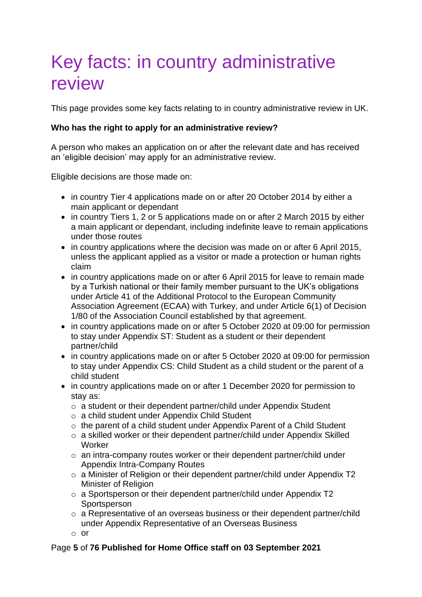# <span id="page-4-0"></span>Key facts: in country administrative review

This page provides some key facts relating to in country administrative review in UK.

### **Who has the right to apply for an administrative review?**

A person who makes an application on or after the relevant date and has received an 'eligible decision' may apply for an administrative review.

Eligible decisions are those made on:

- in country Tier 4 applications made on or after 20 October 2014 by either a main applicant or dependant
- in country Tiers 1, 2 or 5 applications made on or after 2 March 2015 by either a main applicant or dependant, including indefinite leave to remain applications under those routes
- in country applications where the decision was made on or after 6 April 2015, unless the applicant applied as a visitor or made a protection or human rights claim
- in country applications made on or after 6 April 2015 for leave to remain made by a Turkish national or their family member pursuant to the UK's obligations under Article 41 of the Additional Protocol to the European Community Association Agreement (ECAA) with Turkey, and under Article 6(1) of Decision 1/80 of the Association Council established by that agreement.
- in country applications made on or after 5 October 2020 at 09:00 for permission to stay under Appendix ST: Student as a student or their dependent partner/child
- in country applications made on or after 5 October 2020 at 09:00 for permission to stay under Appendix CS: Child Student as a child student or the parent of a child student
- in country applications made on or after 1 December 2020 for permission to stay as:
	- o a student or their dependent partner/child under Appendix Student
	- o a child student under Appendix Child Student
	- o the parent of a child student under Appendix Parent of a Child Student
	- o a skilled worker or their dependent partner/child under Appendix Skilled **Worker**
	- o an intra-company routes worker or their dependent partner/child under Appendix Intra-Company Routes
	- o a Minister of Religion or their dependent partner/child under Appendix T2 Minister of Religion
	- o a Sportsperson or their dependent partner/child under Appendix T2 **Sportsperson**
	- o a Representative of an overseas business or their dependent partner/child under Appendix Representative of an Overseas Business
	- $\cap$  or

### Page **5** of **76 Published for Home Office staff on 03 September 2021**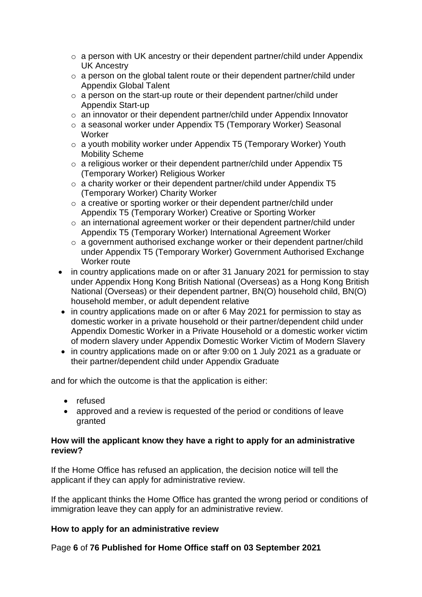- o a person with UK ancestry or their dependent partner/child under Appendix UK Ancestry
- o a person on the global talent route or their dependent partner/child under Appendix Global Talent
- o a person on the start-up route or their dependent partner/child under Appendix Start-up
- o an innovator or their dependent partner/child under Appendix Innovator
- o a seasonal worker under Appendix T5 (Temporary Worker) Seasonal **Worker**
- o a youth mobility worker under Appendix T5 (Temporary Worker) Youth Mobility Scheme
- o a religious worker or their dependent partner/child under Appendix T5 (Temporary Worker) Religious Worker
- o a charity worker or their dependent partner/child under Appendix T5 (Temporary Worker) Charity Worker
- o a creative or sporting worker or their dependent partner/child under Appendix T5 (Temporary Worker) Creative or Sporting Worker
- o an international agreement worker or their dependent partner/child under Appendix T5 (Temporary Worker) International Agreement Worker
- o a government authorised exchange worker or their dependent partner/child under Appendix T5 (Temporary Worker) Government Authorised Exchange Worker route
- in country applications made on or after 31 January 2021 for permission to stay under Appendix Hong Kong British National (Overseas) as a Hong Kong British National (Overseas) or their dependent partner, BN(O) household child, BN(O) household member, or adult dependent relative
- in country applications made on or after 6 May 2021 for permission to stay as domestic worker in a private household or their partner/dependent child under Appendix Domestic Worker in a Private Household or a domestic worker victim of modern slavery under Appendix Domestic Worker Victim of Modern Slavery
- in country applications made on or after 9:00 on 1 July 2021 as a graduate or their partner/dependent child under Appendix Graduate

and for which the outcome is that the application is either:

- refused
- approved and a review is requested of the period or conditions of leave granted

### **How will the applicant know they have a right to apply for an administrative review?**

If the Home Office has refused an application, the decision notice will tell the applicant if they can apply for administrative review.

If the applicant thinks the Home Office has granted the wrong period or conditions of immigration leave they can apply for an administrative review.

### **How to apply for an administrative review**

Page **6** of **76 Published for Home Office staff on 03 September 2021**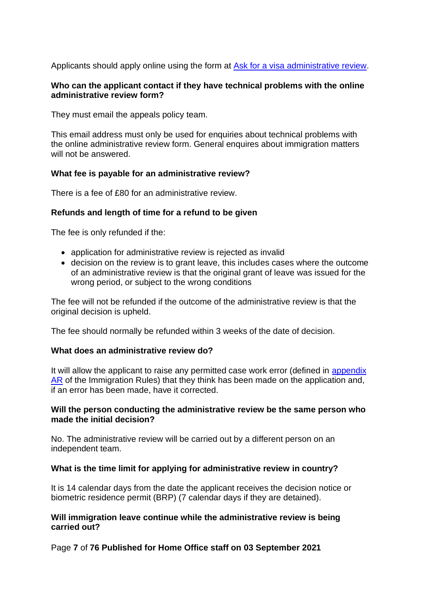Applicants should apply online using the form at [Ask for a visa administrative review.](https://www.gov.uk/ask-for-a-visa-administrative-review/if-youre-in-the-uk)

### **Who can the applicant contact if they have technical problems with the online administrative review form?**

They must email the appeals policy team.

This email address must only be used for enquiries about technical problems with the online administrative review form. General enquires about immigration matters will not be answered.

### **What fee is payable for an administrative review?**

There is a fee of £80 for an administrative review.

### **Refunds and length of time for a refund to be given**

The fee is only refunded if the:

- application for administrative review is rejected as invalid
- decision on the review is to grant leave, this includes cases where the outcome of an administrative review is that the original grant of leave was issued for the wrong period, or subject to the wrong conditions

The fee will not be refunded if the outcome of the administrative review is that the original decision is upheld.

The fee should normally be refunded within 3 weeks of the date of decision.

### **What does an administrative review do?**

It will allow the applicant to raise any permitted case work error (defined in [appendix](https://www.gov.uk/government/publications/immigration-rules-appendix-ar-administrative-review)  [AR](https://www.gov.uk/government/publications/immigration-rules-appendix-ar-administrative-review) of the Immigration Rules) that they think has been made on the application and, if an error has been made, have it corrected.

### **Will the person conducting the administrative review be the same person who made the initial decision?**

No. The administrative review will be carried out by a different person on an independent team.

### **What is the time limit for applying for administrative review in country?**

It is 14 calendar days from the date the applicant receives the decision notice or biometric residence permit (BRP) (7 calendar days if they are detained).

### **Will immigration leave continue while the administrative review is being carried out?**

Page **7** of **76 Published for Home Office staff on 03 September 2021**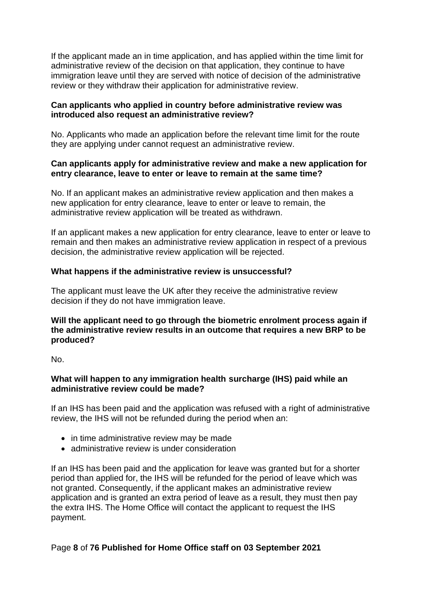If the applicant made an in time application, and has applied within the time limit for administrative review of the decision on that application, they continue to have immigration leave until they are served with notice of decision of the administrative review or they withdraw their application for administrative review.

### **Can applicants who applied in country before administrative review was introduced also request an administrative review?**

No. Applicants who made an application before the relevant time limit for the route they are applying under cannot request an administrative review.

### **Can applicants apply for administrative review and make a new application for entry clearance, leave to enter or leave to remain at the same time?**

No. If an applicant makes an administrative review application and then makes a new application for entry clearance, leave to enter or leave to remain, the administrative review application will be treated as withdrawn.

If an applicant makes a new application for entry clearance, leave to enter or leave to remain and then makes an administrative review application in respect of a previous decision, the administrative review application will be rejected.

### **What happens if the administrative review is unsuccessful?**

The applicant must leave the UK after they receive the administrative review decision if they do not have immigration leave.

### **Will the applicant need to go through the biometric enrolment process again if the administrative review results in an outcome that requires a new BRP to be produced?**

No.

### **What will happen to any immigration health surcharge (IHS) paid while an administrative review could be made?**

If an IHS has been paid and the application was refused with a right of administrative review, the IHS will not be refunded during the period when an:

- in time administrative review may be made
- administrative review is under consideration

If an IHS has been paid and the application for leave was granted but for a shorter period than applied for, the IHS will be refunded for the period of leave which was not granted. Consequently, if the applicant makes an administrative review application and is granted an extra period of leave as a result, they must then pay the extra IHS. The Home Office will contact the applicant to request the IHS payment.

### Page **8** of **76 Published for Home Office staff on 03 September 2021**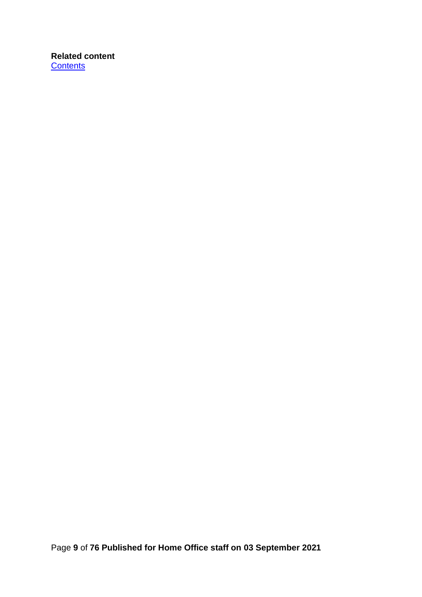### **Related content [Contents](#page-1-0)**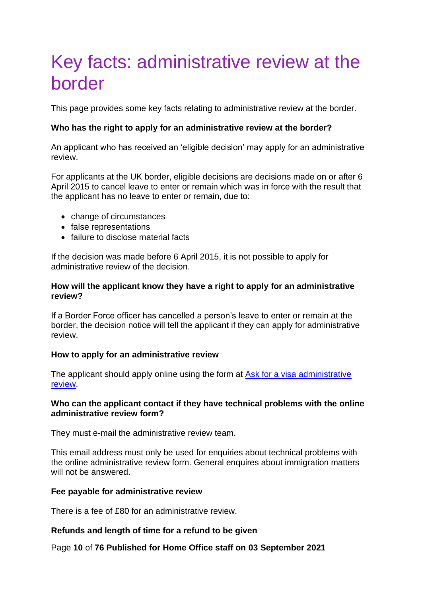## <span id="page-9-0"></span>Key facts: administrative review at the border

This page provides some key facts relating to administrative review at the border.

### **Who has the right to apply for an administrative review at the border?**

An applicant who has received an 'eligible decision' may apply for an administrative review.

For applicants at the UK border, eligible decisions are decisions made on or after 6 April 2015 to cancel leave to enter or remain which was in force with the result that the applicant has no leave to enter or remain, due to:

- change of circumstances
- false representations
- failure to disclose material facts

If the decision was made before 6 April 2015, it is not possible to apply for administrative review of the decision.

### **How will the applicant know they have a right to apply for an administrative review?**

If a Border Force officer has cancelled a person's leave to enter or remain at the border, the decision notice will tell the applicant if they can apply for administrative review.

### **How to apply for an administrative review**

The applicant should apply online using the form at Ask for a visa administrative [review.](https://www.gov.uk/ask-for-a-visa-administrative-review/if-your-visa-was-cancelled-at-the-border)

### **Who can the applicant contact if they have technical problems with the online administrative review form?**

They must e-mail the administrative review team.

This email address must only be used for enquiries about technical problems with the online administrative review form. General enquires about immigration matters will not be answered.

### **Fee payable for administrative review**

There is a fee of £80 for an administrative review.

### **Refunds and length of time for a refund to be given**

Page **10** of **76 Published for Home Office staff on 03 September 2021**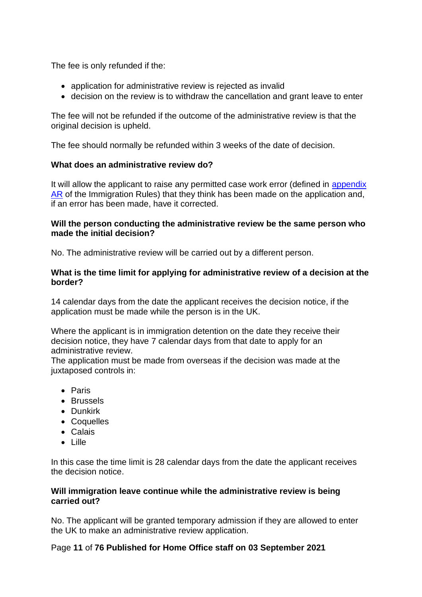The fee is only refunded if the:

- application for administrative review is rejected as invalid
- decision on the review is to withdraw the cancellation and grant leave to enter

The fee will not be refunded if the outcome of the administrative review is that the original decision is upheld.

The fee should normally be refunded within 3 weeks of the date of decision.

### **What does an administrative review do?**

It will allow the applicant to raise any permitted case work error (defined in [appendix](https://www.gov.uk/government/publications/immigration-rules-appendix-ar-administrative-review)  [AR](https://www.gov.uk/government/publications/immigration-rules-appendix-ar-administrative-review) of the Immigration Rules) that they think has been made on the application and, if an error has been made, have it corrected.

### **Will the person conducting the administrative review be the same person who made the initial decision?**

No. The administrative review will be carried out by a different person.

### **What is the time limit for applying for administrative review of a decision at the border?**

14 calendar days from the date the applicant receives the decision notice, if the application must be made while the person is in the UK.

Where the applicant is in immigration detention on the date they receive their decision notice, they have 7 calendar days from that date to apply for an administrative review.

The application must be made from overseas if the decision was made at the juxtaposed controls in:

- Paris
- Brussels
- Dunkirk
- Coquelles
- Calais
- Lille

In this case the time limit is 28 calendar days from the date the applicant receives the decision notice.

### **Will immigration leave continue while the administrative review is being carried out?**

No. The applicant will be granted temporary admission if they are allowed to enter the UK to make an administrative review application.

### Page **11** of **76 Published for Home Office staff on 03 September 2021**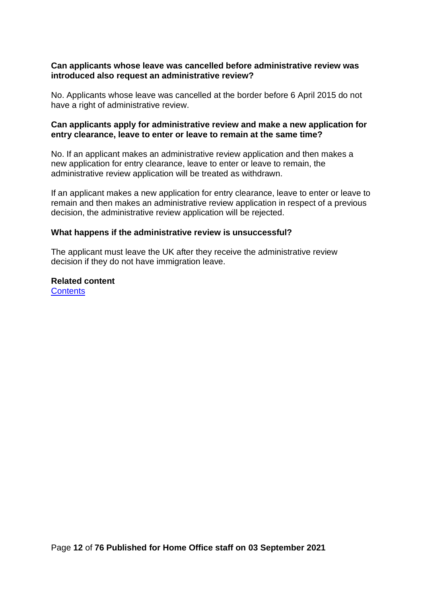### **Can applicants whose leave was cancelled before administrative review was introduced also request an administrative review?**

No. Applicants whose leave was cancelled at the border before 6 April 2015 do not have a right of administrative review.

### **Can applicants apply for administrative review and make a new application for entry clearance, leave to enter or leave to remain at the same time?**

No. If an applicant makes an administrative review application and then makes a new application for entry clearance, leave to enter or leave to remain, the administrative review application will be treated as withdrawn.

If an applicant makes a new application for entry clearance, leave to enter or leave to remain and then makes an administrative review application in respect of a previous decision, the administrative review application will be rejected.

### **What happens if the administrative review is unsuccessful?**

The applicant must leave the UK after they receive the administrative review decision if they do not have immigration leave.

**Related content [Contents](#page-1-0)**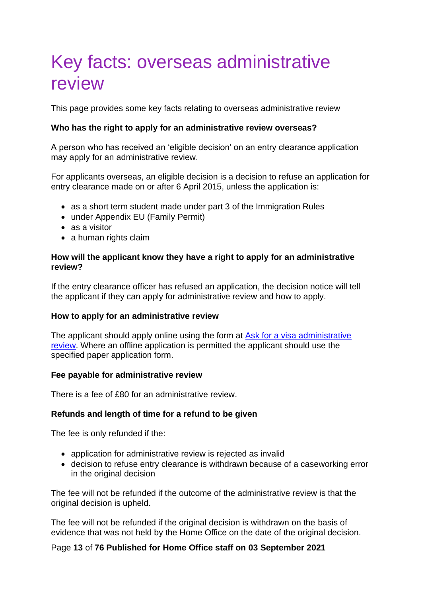## <span id="page-12-0"></span>Key facts: overseas administrative review

This page provides some key facts relating to overseas administrative review

### **Who has the right to apply for an administrative review overseas?**

A person who has received an 'eligible decision' on an entry clearance application may apply for an administrative review.

For applicants overseas, an eligible decision is a decision to refuse an application for entry clearance made on or after 6 April 2015, unless the application is:

- as a short term student made under part 3 of the Immigration Rules
- under Appendix EU (Family Permit)
- as a visitor
- a human rights claim

### **How will the applicant know they have a right to apply for an administrative review?**

If the entry clearance officer has refused an application, the decision notice will tell the applicant if they can apply for administrative review and how to apply.

### **How to apply for an administrative review**

The applicant should apply online using the form at [Ask for a visa administrative](https://www.gov.uk/ask-for-a-visa-administrative-review)  [review.](https://www.gov.uk/ask-for-a-visa-administrative-review) Where an offline application is permitted the applicant should use the specified paper application form.

### **Fee payable for administrative review**

There is a fee of £80 for an administrative review.

### **Refunds and length of time for a refund to be given**

The fee is only refunded if the:

- application for administrative review is rejected as invalid
- decision to refuse entry clearance is withdrawn because of a caseworking error in the original decision

The fee will not be refunded if the outcome of the administrative review is that the original decision is upheld.

The fee will not be refunded if the original decision is withdrawn on the basis of evidence that was not held by the Home Office on the date of the original decision.

### Page **13** of **76 Published for Home Office staff on 03 September 2021**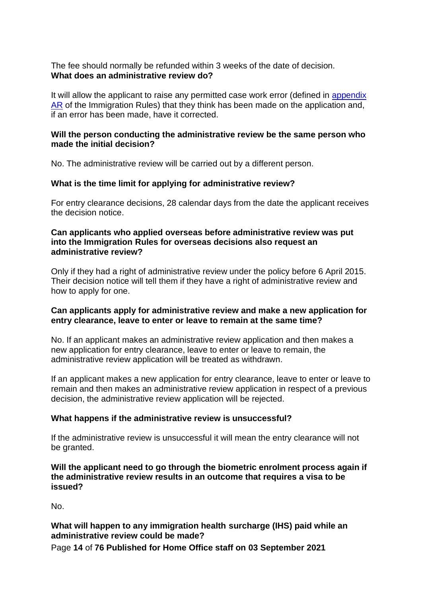The fee should normally be refunded within 3 weeks of the date of decision. **What does an administrative review do?**

It will allow the applicant to raise any permitted case work error (defined in appendix [AR](https://www.gov.uk/government/publications/immigration-rules-appendix-ar-administrative-review) of the Immigration Rules) that they think has been made on the application and, if an error has been made, have it corrected.

### **Will the person conducting the administrative review be the same person who made the initial decision?**

No. The administrative review will be carried out by a different person.

### **What is the time limit for applying for administrative review?**

For entry clearance decisions, 28 calendar days from the date the applicant receives the decision notice.

### **Can applicants who applied overseas before administrative review was put into the Immigration Rules for overseas decisions also request an administrative review?**

Only if they had a right of administrative review under the policy before 6 April 2015. Their decision notice will tell them if they have a right of administrative review and how to apply for one.

### **Can applicants apply for administrative review and make a new application for entry clearance, leave to enter or leave to remain at the same time?**

No. If an applicant makes an administrative review application and then makes a new application for entry clearance, leave to enter or leave to remain, the administrative review application will be treated as withdrawn.

If an applicant makes a new application for entry clearance, leave to enter or leave to remain and then makes an administrative review application in respect of a previous decision, the administrative review application will be rejected.

### **What happens if the administrative review is unsuccessful?**

If the administrative review is unsuccessful it will mean the entry clearance will not be granted.

### **Will the applicant need to go through the biometric enrolment process again if the administrative review results in an outcome that requires a visa to be issued?**

No.

### **What will happen to any immigration health surcharge (IHS) paid while an administrative review could be made?**

Page **14** of **76 Published for Home Office staff on 03 September 2021**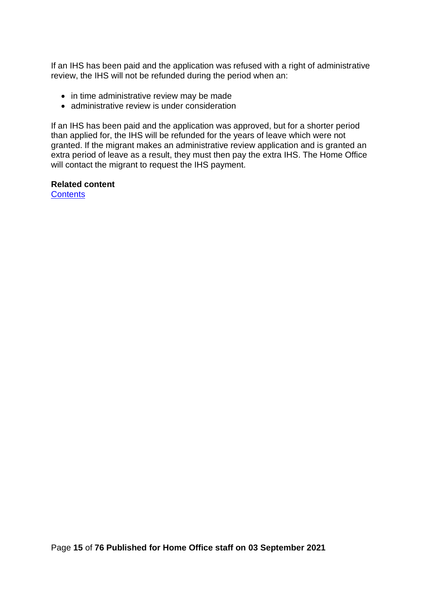If an IHS has been paid and the application was refused with a right of administrative review, the IHS will not be refunded during the period when an:

- in time administrative review may be made
- administrative review is under consideration

If an IHS has been paid and the application was approved, but for a shorter period than applied for, the IHS will be refunded for the years of leave which were not granted. If the migrant makes an administrative review application and is granted an extra period of leave as a result, they must then pay the extra IHS. The Home Office will contact the migrant to request the IHS payment.

**Related content [Contents](#page-1-0)**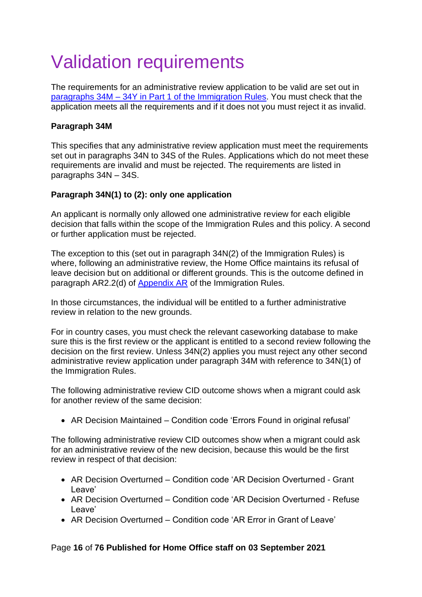# <span id="page-15-0"></span>Validation requirements

The requirements for an administrative review application to be valid are set out in paragraphs 34M – [34Y in Part 1 of the Immigration Rules.](https://www.gov.uk/guidance/immigration-rules/immigration-rules-part-1-leave-to-enter-or-stay-in-the-uk) You must check that the application meets all the requirements and if it does not you must reject it as invalid.

### **Paragraph 34M**

This specifies that any administrative review application must meet the requirements set out in paragraphs 34N to 34S of the Rules. Applications which do not meet these requirements are invalid and must be rejected. The requirements are listed in paragraphs 34N – 34S.

### **Paragraph 34N(1) to (2): only one application**

An applicant is normally only allowed one administrative review for each eligible decision that falls within the scope of the Immigration Rules and this policy. A second or further application must be rejected.

The exception to this (set out in paragraph 34N(2) of the Immigration Rules) is where, following an administrative review, the Home Office maintains its refusal of leave decision but on additional or different grounds. This is the outcome defined in paragraph AR2.2(d) of [Appendix AR](https://www.gov.uk/guidance/immigration-rules/immigration-rules-appendix-ar-administrative-review) of the Immigration Rules.

In those circumstances, the individual will be entitled to a further administrative review in relation to the new grounds.

For in country cases, you must check the relevant caseworking database to make sure this is the first review or the applicant is entitled to a second review following the decision on the first review. Unless 34N(2) applies you must reject any other second administrative review application under paragraph 34M with reference to 34N(1) of the Immigration Rules.

The following administrative review CID outcome shows when a migrant could ask for another review of the same decision:

• AR Decision Maintained – Condition code 'Errors Found in original refusal'

The following administrative review CID outcomes show when a migrant could ask for an administrative review of the new decision, because this would be the first review in respect of that decision:

- AR Decision Overturned Condition code 'AR Decision Overturned Grant Leave'
- AR Decision Overturned Condition code 'AR Decision Overturned Refuse Leave'
- AR Decision Overturned Condition code 'AR Error in Grant of Leave'

### Page **16** of **76 Published for Home Office staff on 03 September 2021**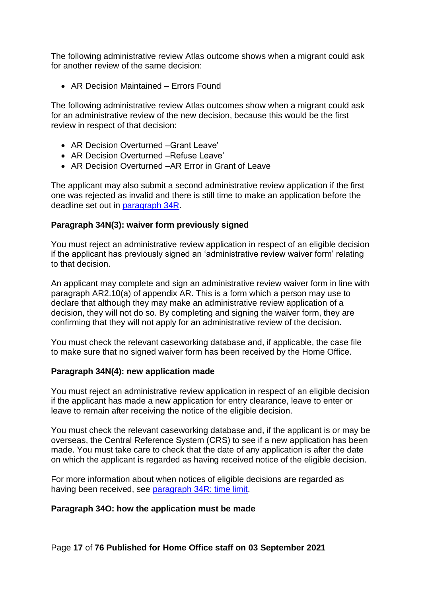The following administrative review Atlas outcome shows when a migrant could ask for another review of the same decision:

• AR Decision Maintained – Errors Found

The following administrative review Atlas outcomes show when a migrant could ask for an administrative review of the new decision, because this would be the first review in respect of that decision:

- AR Decision Overturned –Grant Leave'
- AR Decision Overturned –Refuse Leave'
- AR Decision Overturned –AR Error in Grant of Leave

The applicant may also submit a second administrative review application if the first one was rejected as invalid and there is still time to make an application before the deadline set out in [paragraph 34R.](#page-43-0)

### **Paragraph 34N(3): waiver form previously signed**

You must reject an administrative review application in respect of an eligible decision if the applicant has previously signed an 'administrative review waiver form' relating to that decision.

An applicant may complete and sign an administrative review waiver form in line with paragraph AR2.10(a) of appendix AR. This is a form which a person may use to declare that although they may make an administrative review application of a decision, they will not do so. By completing and signing the waiver form, they are confirming that they will not apply for an administrative review of the decision.

You must check the relevant caseworking database and, if applicable, the case file to make sure that no signed waiver form has been received by the Home Office.

### **Paragraph 34N(4): new application made**

You must reject an administrative review application in respect of an eligible decision if the applicant has made a new application for entry clearance, leave to enter or leave to remain after receiving the notice of the eligible decision.

You must check the relevant caseworking database and, if the applicant is or may be overseas, the Central Reference System (CRS) to see if a new application has been made. You must take care to check that the date of any application is after the date on which the applicant is regarded as having received notice of the eligible decision.

For more information about when notices of eligible decisions are regarded as having been received, see [paragraph 34R: time limit.](#page-43-0)

### **Paragraph 34O: how the application must be made**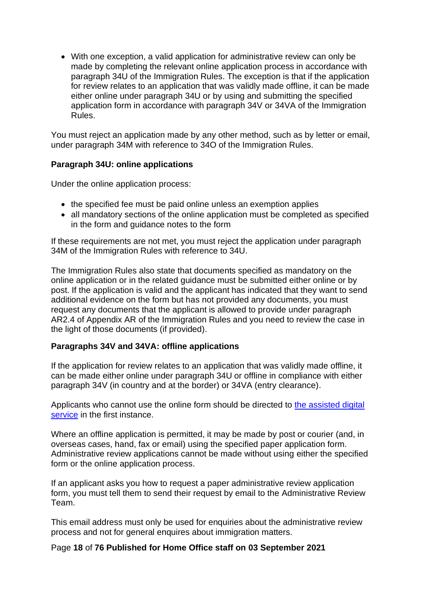• With one exception, a valid application for administrative review can only be made by completing the relevant online application process in accordance with paragraph 34U of the Immigration Rules. The exception is that if the application for review relates to an application that was validly made offline, it can be made either online under paragraph 34U or by using and submitting the specified application form in accordance with paragraph 34V or 34VA of the Immigration Rules.

You must reject an application made by any other method, such as by letter or email, under paragraph 34M with reference to 34O of the Immigration Rules.

### **Paragraph 34U: online applications**

Under the online application process:

- the specified fee must be paid online unless an exemption applies
- all mandatory sections of the online application must be completed as specified in the form and guidance notes to the form

If these requirements are not met, you must reject the application under paragraph 34M of the Immigration Rules with reference to 34U.

The Immigration Rules also state that documents specified as mandatory on the online application or in the related guidance must be submitted either online or by post. If the application is valid and the applicant has indicated that they want to send additional evidence on the form but has not provided any documents, you must request any documents that the applicant is allowed to provide under paragraph AR2.4 of Appendix AR of the Immigration Rules and you need to review the case in the light of those documents (if provided).

### **Paragraphs 34V and 34VA: offline applications**

If the application for review relates to an application that was validly made offline, it can be made either online under paragraph 34U or offline in compliance with either paragraph 34V (in country and at the border) or 34VA (entry clearance).

Applicants who cannot use the online form should be directed to [the assisted digital](https://www.gov.uk/assisted-digital-help-online-applications)  [service](https://www.gov.uk/assisted-digital-help-online-applications) in the first instance.

Where an offline application is permitted, it may be made by post or courier (and, in overseas cases, hand, fax or email) using the specified paper application form. Administrative review applications cannot be made without using either the specified form or the online application process.

If an applicant asks you how to request a paper administrative review application form, you must tell them to send their request by email to the Administrative Review Team.

This email address must only be used for enquiries about the administrative review process and not for general enquires about immigration matters.

### Page **18** of **76 Published for Home Office staff on 03 September 2021**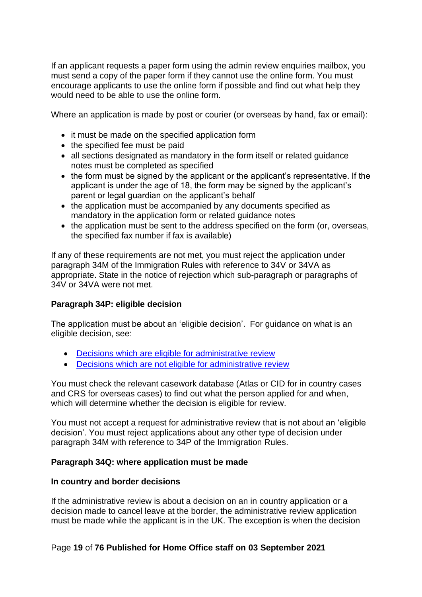If an applicant requests a paper form using the admin review enquiries mailbox, you must send a copy of the paper form if they cannot use the online form. You must encourage applicants to use the online form if possible and find out what help they would need to be able to use the online form.

Where an application is made by post or courier (or overseas by hand, fax or email):

- it must be made on the specified application form
- the specified fee must be paid
- all sections designated as mandatory in the form itself or related guidance notes must be completed as specified
- the form must be signed by the applicant or the applicant's representative. If the applicant is under the age of 18, the form may be signed by the applicant's parent or legal guardian on the applicant's behalf
- the application must be accompanied by any documents specified as mandatory in the application form or related guidance notes
- the application must be sent to the address specified on the form (or, overseas, the specified fax number if fax is available)

If any of these requirements are not met, you must reject the application under paragraph 34M of the Immigration Rules with reference to 34V or 34VA as appropriate. State in the notice of rejection which sub-paragraph or paragraphs of 34V or 34VA were not met.

### **Paragraph 34P: eligible decision**

The application must be about an 'eligible decision'. For guidance on what is an eligible decision, see:

- [Decisions which are eligible for administrative review](#page-28-0)
- [Decisions which are not eligible for administrative review](#page-32-0)

You must check the relevant casework database (Atlas or CID for in country cases and CRS for overseas cases) to find out what the person applied for and when, which will determine whether the decision is eligible for review.

You must not accept a request for administrative review that is not about an 'eligible decision'. You must reject applications about any other type of decision under paragraph 34M with reference to 34P of the Immigration Rules.

### **Paragraph 34Q: where application must be made**

### **In country and border decisions**

If the administrative review is about a decision on an in country application or a decision made to cancel leave at the border, the administrative review application must be made while the applicant is in the UK. The exception is when the decision

### Page **19** of **76 Published for Home Office staff on 03 September 2021**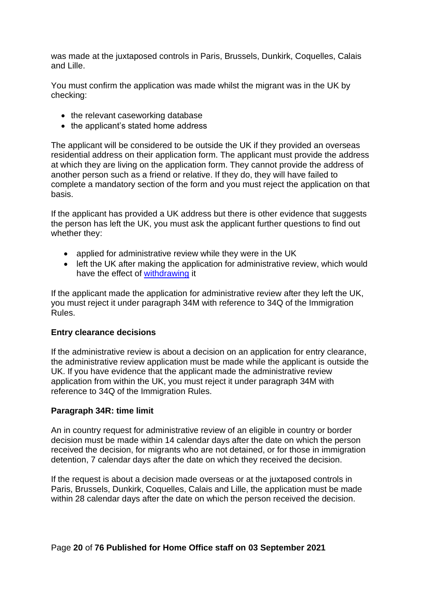was made at the juxtaposed controls in Paris, Brussels, Dunkirk, Coquelles, Calais and Lille.

You must confirm the application was made whilst the migrant was in the UK by checking:

- the relevant caseworking database
- the applicant's stated home address

The applicant will be considered to be outside the UK if they provided an overseas residential address on their application form. The applicant must provide the address at which they are living on the application form. They cannot provide the address of another person such as a friend or relative. If they do, they will have failed to complete a mandatory section of the form and you must reject the application on that basis.

If the applicant has provided a UK address but there is other evidence that suggests the person has left the UK, you must ask the applicant further questions to find out whether they:

- applied for administrative review while they were in the UK
- left the UK after making the application for administrative review, which would have the effect of [withdrawing](#page-72-0) it

If the applicant made the application for administrative review after they left the UK, you must reject it under paragraph 34M with reference to 34Q of the Immigration Rules.

### **Entry clearance decisions**

If the administrative review is about a decision on an application for entry clearance, the administrative review application must be made while the applicant is outside the UK. If you have evidence that the applicant made the administrative review application from within the UK, you must reject it under paragraph 34M with reference to 34Q of the Immigration Rules.

### **Paragraph 34R: time limit**

An in country request for administrative review of an eligible in country or border decision must be made within 14 calendar days after the date on which the person received the decision, for migrants who are not detained, or for those in immigration detention, 7 calendar days after the date on which they received the decision.

If the request is about a decision made overseas or at the juxtaposed controls in Paris, Brussels, Dunkirk, Coquelles, Calais and Lille, the application must be made within 28 calendar days after the date on which the person received the decision.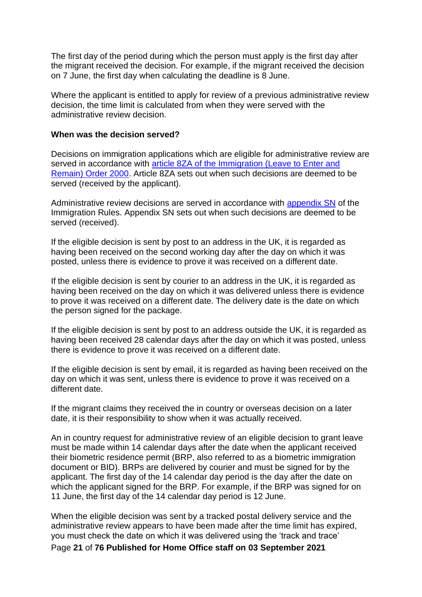The first day of the period during which the person must apply is the first day after the migrant received the decision. For example, if the migrant received the decision on 7 June, the first day when calculating the deadline is 8 June.

Where the applicant is entitled to apply for review of a previous administrative review decision, the time limit is calculated from when they were served with the administrative review decision.

#### **When was the decision served?**

Decisions on immigration applications which are eligible for administrative review are served in accordance with article 8ZA of the Immigration (Leave to Enter and [Remain\) Order 2000.](http://www.legislation.gov.uk/uksi/2013/1749/article/4/made) Article 8ZA sets out when such decisions are deemed to be served (received by the applicant).

Administrative review decisions are served in accordance with [appendix SN](https://www.gov.uk/guidance/immigration-rules/immigration-rules-appendix-sn-service-of-notices) of the Immigration Rules. Appendix SN sets out when such decisions are deemed to be served (received).

If the eligible decision is sent by post to an address in the UK, it is regarded as having been received on the second working day after the day on which it was posted, unless there is evidence to prove it was received on a different date.

If the eligible decision is sent by courier to an address in the UK, it is regarded as having been received on the day on which it was delivered unless there is evidence to prove it was received on a different date. The delivery date is the date on which the person signed for the package.

If the eligible decision is sent by post to an address outside the UK, it is regarded as having been received 28 calendar days after the day on which it was posted, unless there is evidence to prove it was received on a different date.

If the eligible decision is sent by email, it is regarded as having been received on the day on which it was sent, unless there is evidence to prove it was received on a different date.

If the migrant claims they received the in country or overseas decision on a later date, it is their responsibility to show when it was actually received.

An in country request for administrative review of an eligible decision to grant leave must be made within 14 calendar days after the date when the applicant received their biometric residence permit (BRP, also referred to as a biometric immigration document or BID). BRPs are delivered by courier and must be signed for by the applicant. The first day of the 14 calendar day period is the day after the date on which the applicant signed for the BRP. For example, if the BRP was signed for on 11 June, the first day of the 14 calendar day period is 12 June.

When the eligible decision was sent by a tracked postal delivery service and the administrative review appears to have been made after the time limit has expired, you must check the date on which it was delivered using the 'track and trace'

Page **21** of **76 Published for Home Office staff on 03 September 2021**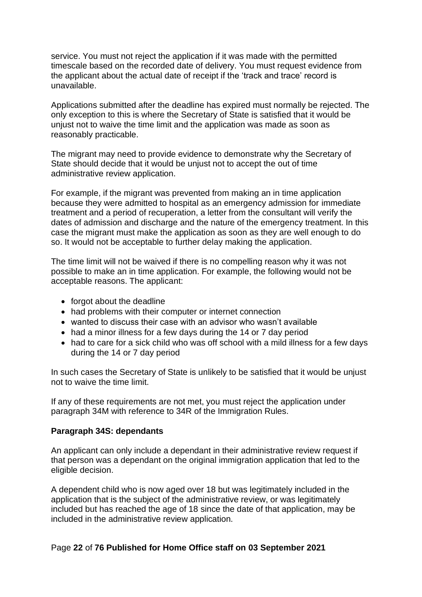service. You must not reject the application if it was made with the permitted timescale based on the recorded date of delivery. You must request evidence from the applicant about the actual date of receipt if the 'track and trace' record is unavailable.

Applications submitted after the deadline has expired must normally be rejected. The only exception to this is where the Secretary of State is satisfied that it would be unjust not to waive the time limit and the application was made as soon as reasonably practicable.

The migrant may need to provide evidence to demonstrate why the Secretary of State should decide that it would be unjust not to accept the out of time administrative review application.

For example, if the migrant was prevented from making an in time application because they were admitted to hospital as an emergency admission for immediate treatment and a period of recuperation, a letter from the consultant will verify the dates of admission and discharge and the nature of the emergency treatment. In this case the migrant must make the application as soon as they are well enough to do so. It would not be acceptable to further delay making the application.

The time limit will not be waived if there is no compelling reason why it was not possible to make an in time application. For example, the following would not be acceptable reasons. The applicant:

- forgot about the deadline
- had problems with their computer or internet connection
- wanted to discuss their case with an advisor who wasn't available
- had a minor illness for a few days during the 14 or 7 day period
- had to care for a sick child who was off school with a mild illness for a few days during the 14 or 7 day period

In such cases the Secretary of State is unlikely to be satisfied that it would be unjust not to waive the time limit.

If any of these requirements are not met, you must reject the application under paragraph 34M with reference to 34R of the Immigration Rules.

### **Paragraph 34S: dependants**

An applicant can only include a dependant in their administrative review request if that person was a dependant on the original immigration application that led to the eligible decision.

A dependent child who is now aged over 18 but was legitimately included in the application that is the subject of the administrative review, or was legitimately included but has reached the age of 18 since the date of that application, may be included in the administrative review application.

#### Page **22** of **76 Published for Home Office staff on 03 September 2021**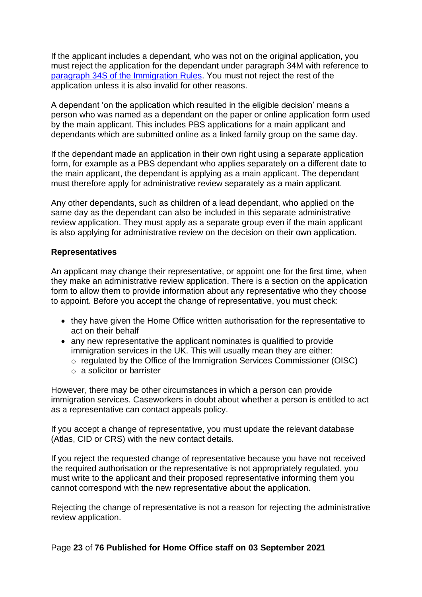If the applicant includes a dependant, who was not on the original application, you must reject the application for the dependant under paragraph 34M with reference to [paragraph 34S of the Immigration Rules.](https://www.gov.uk/guidance/immigration-rules/immigration-rules-part-1-leave-to-enter-or-stay-in-the-uk) You must not reject the rest of the application unless it is also invalid for other reasons.

A dependant 'on the application which resulted in the eligible decision' means a person who was named as a dependant on the paper or online application form used by the main applicant. This includes PBS applications for a main applicant and dependants which are submitted online as a linked family group on the same day.

If the dependant made an application in their own right using a separate application form, for example as a PBS dependant who applies separately on a different date to the main applicant, the dependant is applying as a main applicant. The dependant must therefore apply for administrative review separately as a main applicant.

Any other dependants, such as children of a lead dependant, who applied on the same day as the dependant can also be included in this separate administrative review application. They must apply as a separate group even if the main applicant is also applying for administrative review on the decision on their own application.

### **Representatives**

An applicant may change their representative, or appoint one for the first time, when they make an administrative review application. There is a section on the application form to allow them to provide information about any representative who they choose to appoint. Before you accept the change of representative, you must check:

- they have given the Home Office written authorisation for the representative to act on their behalf
- any new representative the applicant nominates is qualified to provide immigration services in the UK. This will usually mean they are either:
	- o regulated by the Office of the Immigration Services Commissioner (OISC)
	- o a solicitor or barrister

However, there may be other circumstances in which a person can provide immigration services. Caseworkers in doubt about whether a person is entitled to act as a representative can contact appeals policy.

If you accept a change of representative, you must update the relevant database (Atlas, CID or CRS) with the new contact details.

If you reject the requested change of representative because you have not received the required authorisation or the representative is not appropriately regulated, you must write to the applicant and their proposed representative informing them you cannot correspond with the new representative about the application.

Rejecting the change of representative is not a reason for rejecting the administrative review application.

### Page **23** of **76 Published for Home Office staff on 03 September 2021**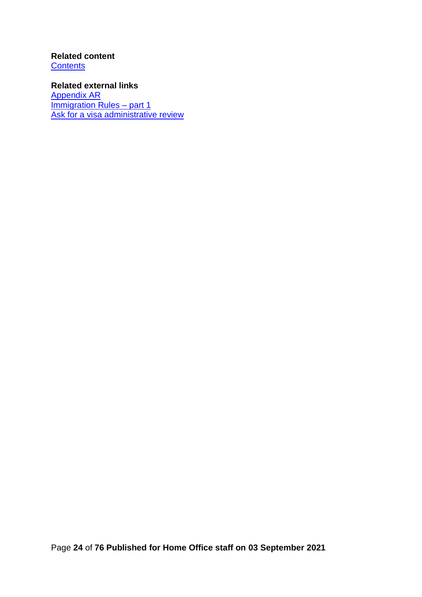### **Related content [Contents](#page-1-0)**

**Related external links** [Appendix AR](https://www.gov.uk/government/collections/immigration-rules) **Immigration Rules - part 1** [Ask for a visa administrative review](https://www.gov.uk/ask-for-a-visa-administrative-review)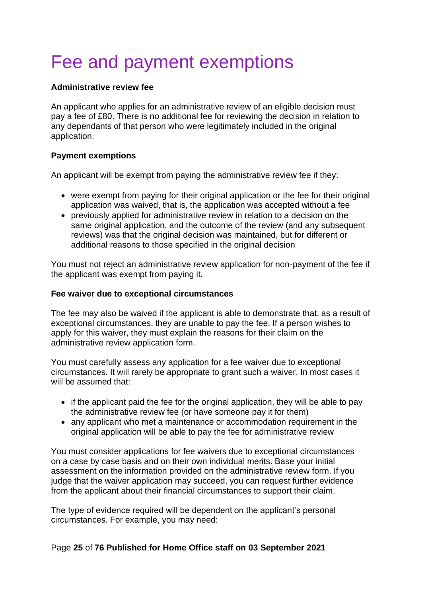# <span id="page-24-0"></span>Fee and payment exemptions

### **Administrative review fee**

An applicant who applies for an administrative review of an eligible decision must pay a fee of £80. There is no additional fee for reviewing the decision in relation to any dependants of that person who were legitimately included in the original application.

### **Payment exemptions**

An applicant will be exempt from paying the administrative review fee if they:

- were exempt from paying for their original application or the fee for their original application was waived, that is, the application was accepted without a fee
- previously applied for administrative review in relation to a decision on the same original application, and the outcome of the review (and any subsequent reviews) was that the original decision was maintained, but for different or additional reasons to those specified in the original decision

You must not reject an administrative review application for non-payment of the fee if the applicant was exempt from paying it.

### **Fee waiver due to exceptional circumstances**

The fee may also be waived if the applicant is able to demonstrate that, as a result of exceptional circumstances, they are unable to pay the fee. If a person wishes to apply for this waiver, they must explain the reasons for their claim on the administrative review application form.

You must carefully assess any application for a fee waiver due to exceptional circumstances. It will rarely be appropriate to grant such a waiver. In most cases it will be assumed that:

- if the applicant paid the fee for the original application, they will be able to pay the administrative review fee (or have someone pay it for them)
- any applicant who met a maintenance or accommodation requirement in the original application will be able to pay the fee for administrative review

You must consider applications for fee waivers due to exceptional circumstances on a case by case basis and on their own individual merits. Base your initial assessment on the information provided on the administrative review form. If you judge that the waiver application may succeed, you can request further evidence from the applicant about their financial circumstances to support their claim.

The type of evidence required will be dependent on the applicant's personal circumstances. For example, you may need:

### Page **25** of **76 Published for Home Office staff on 03 September 2021**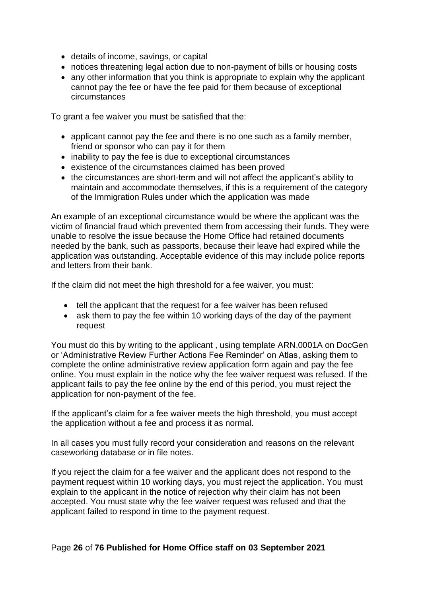- details of income, savings, or capital
- notices threatening legal action due to non-payment of bills or housing costs
- any other information that you think is appropriate to explain why the applicant cannot pay the fee or have the fee paid for them because of exceptional circumstances

To grant a fee waiver you must be satisfied that the:

- applicant cannot pay the fee and there is no one such as a family member, friend or sponsor who can pay it for them
- inability to pay the fee is due to exceptional circumstances
- existence of the circumstances claimed has been proved
- the circumstances are short-term and will not affect the applicant's ability to maintain and accommodate themselves, if this is a requirement of the category of the Immigration Rules under which the application was made

An example of an exceptional circumstance would be where the applicant was the victim of financial fraud which prevented them from accessing their funds. They were unable to resolve the issue because the Home Office had retained documents needed by the bank, such as passports, because their leave had expired while the application was outstanding. Acceptable evidence of this may include police reports and letters from their bank.

If the claim did not meet the high threshold for a fee waiver, you must:

- tell the applicant that the request for a fee waiver has been refused
- ask them to pay the fee within 10 working days of the day of the payment request

You must do this by writing to the applicant , using template ARN.0001A on DocGen or 'Administrative Review Further Actions Fee Reminder' on Atlas, asking them to complete the online administrative review application form again and pay the fee online. You must explain in the notice why the fee waiver request was refused. If the applicant fails to pay the fee online by the end of this period, you must reject the application for non-payment of the fee.

If the applicant's claim for a fee waiver meets the high threshold, you must accept the application without a fee and process it as normal.

In all cases you must fully record your consideration and reasons on the relevant caseworking database or in file notes.

If you reject the claim for a fee waiver and the applicant does not respond to the payment request within 10 working days, you must reject the application. You must explain to the applicant in the notice of rejection why their claim has not been accepted. You must state why the fee waiver request was refused and that the applicant failed to respond in time to the payment request.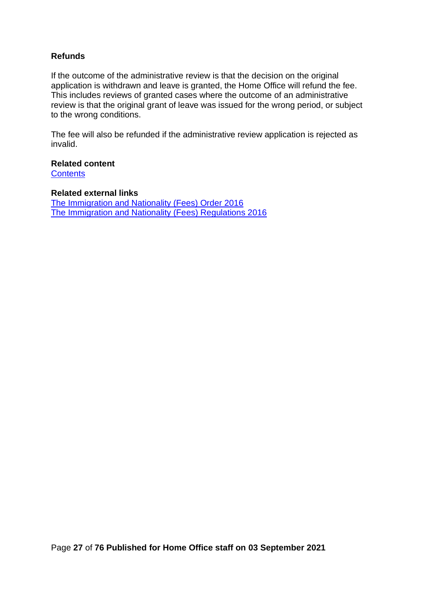### **Refunds**

If the outcome of the administrative review is that the decision on the original application is withdrawn and leave is granted, the Home Office will refund the fee. This includes reviews of granted cases where the outcome of an administrative review is that the original grant of leave was issued for the wrong period, or subject to the wrong conditions.

The fee will also be refunded if the administrative review application is rejected as invalid.

**Related content [Contents](#page-1-0)** 

#### **Related external links**

[The Immigration and Nationality \(Fees\) Order 2016](http://www.legislation.gov.uk/uksi/2016/177/contents/made) [The Immigration and Nationality \(Fees\) Regulations 2016](http://www.legislation.gov.uk/uksi/2016/226/contents/made)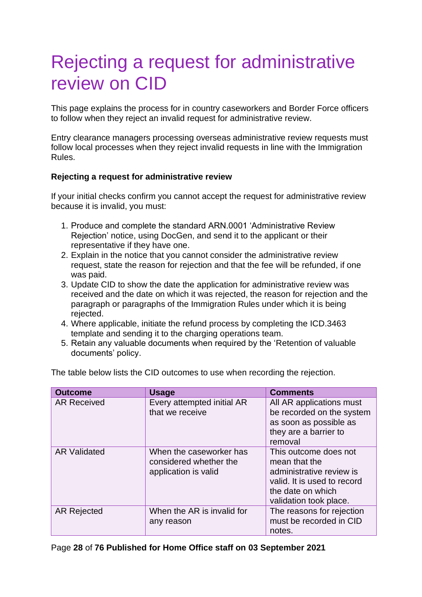# <span id="page-27-0"></span>Rejecting a request for administrative review on CID

This page explains the process for in country caseworkers and Border Force officers to follow when they reject an invalid request for administrative review.

Entry clearance managers processing overseas administrative review requests must follow local processes when they reject invalid requests in line with the Immigration Rules.

### **Rejecting a request for administrative review**

If your initial checks confirm you cannot accept the request for administrative review because it is invalid, you must:

- 1. Produce and complete the standard ARN.0001 'Administrative Review Rejection' notice, using DocGen, and send it to the applicant or their representative if they have one.
- 2. Explain in the notice that you cannot consider the administrative review request, state the reason for rejection and that the fee will be refunded, if one was paid.
- 3. Update CID to show the date the application for administrative review was received and the date on which it was rejected, the reason for rejection and the paragraph or paragraphs of the Immigration Rules under which it is being rejected.
- 4. Where applicable, initiate the refund process by completing the ICD.3463 template and sending it to the charging operations team.
- 5. Retain any valuable documents when required by the 'Retention of valuable documents' policy.

| <b>Outcome</b>      | <b>Usage</b>                                                              | <b>Comments</b>                                                                                                                                  |
|---------------------|---------------------------------------------------------------------------|--------------------------------------------------------------------------------------------------------------------------------------------------|
| <b>AR Received</b>  | Every attempted initial AR<br>that we receive                             | All AR applications must<br>be recorded on the system<br>as soon as possible as<br>they are a barrier to<br>removal                              |
| <b>AR Validated</b> | When the caseworker has<br>considered whether the<br>application is valid | This outcome does not<br>mean that the<br>administrative review is<br>valid. It is used to record<br>the date on which<br>validation took place. |
| <b>AR Rejected</b>  | When the AR is invalid for<br>any reason                                  | The reasons for rejection<br>must be recorded in CID<br>notes.                                                                                   |

The table below lists the CID outcomes to use when recording the rejection.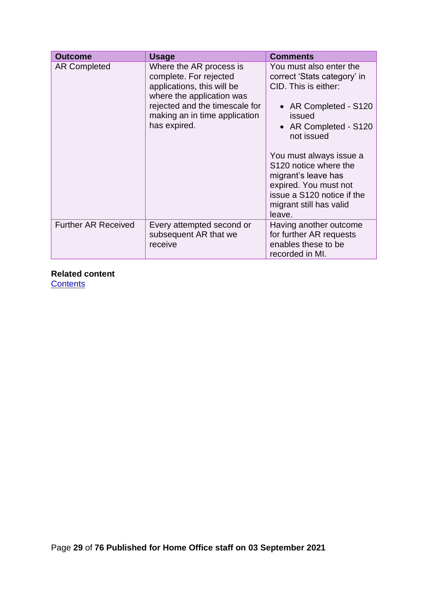| <b>Outcome</b>             | Usage                                                                                                                                                                                           | <b>Comments</b>                                                                                                                                                                                                                                                                                                                 |
|----------------------------|-------------------------------------------------------------------------------------------------------------------------------------------------------------------------------------------------|---------------------------------------------------------------------------------------------------------------------------------------------------------------------------------------------------------------------------------------------------------------------------------------------------------------------------------|
| <b>AR Completed</b>        | Where the AR process is<br>complete. For rejected<br>applications, this will be<br>where the application was<br>rejected and the timescale for<br>making an in time application<br>has expired. | You must also enter the<br>correct 'Stats category' in<br>CID. This is either:<br>• AR Completed - S120<br>issued<br>• AR Completed - S120<br>not issued<br>You must always issue a<br>S120 notice where the<br>migrant's leave has<br>expired. You must not<br>issue a S120 notice if the<br>migrant still has valid<br>leave. |
| <b>Further AR Received</b> | Every attempted second or<br>subsequent AR that we<br>receive                                                                                                                                   | Having another outcome<br>for further AR requests<br>enables these to be<br>recorded in MI.                                                                                                                                                                                                                                     |

### **Related content**

<span id="page-28-0"></span>**[Contents](#page-1-0)**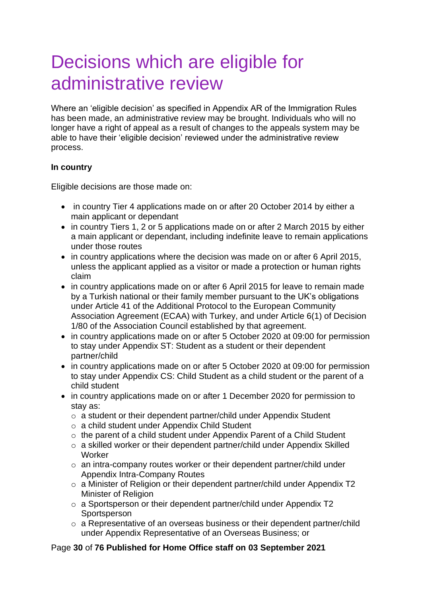# <span id="page-29-0"></span>Decisions which are eligible for administrative review

Where an 'eligible decision' as specified in Appendix AR of the Immigration Rules has been made, an administrative review may be brought. Individuals who will no longer have a right of appeal as a result of changes to the appeals system may be able to have their 'eligible decision' reviewed under the administrative review process.

### **In country**

Eligible decisions are those made on:

- in country Tier 4 applications made on or after 20 October 2014 by either a main applicant or dependant
- in country Tiers 1, 2 or 5 applications made on or after 2 March 2015 by either a main applicant or dependant, including indefinite leave to remain applications under those routes
- in country applications where the decision was made on or after 6 April 2015, unless the applicant applied as a visitor or made a protection or human rights claim
- in country applications made on or after 6 April 2015 for leave to remain made by a Turkish national or their family member pursuant to the UK's obligations under Article 41 of the Additional Protocol to the European Community Association Agreement (ECAA) with Turkey, and under Article 6(1) of Decision 1/80 of the Association Council established by that agreement.
- in country applications made on or after 5 October 2020 at 09:00 for permission to stay under Appendix ST: Student as a student or their dependent partner/child
- in country applications made on or after 5 October 2020 at 09:00 for permission to stay under Appendix CS: Child Student as a child student or the parent of a child student
- in country applications made on or after 1 December 2020 for permission to stay as:
	- o a student or their dependent partner/child under Appendix Student
	- o a child student under Appendix Child Student
	- o the parent of a child student under Appendix Parent of a Child Student
	- o a skilled worker or their dependent partner/child under Appendix Skilled Worker
	- o an intra-company routes worker or their dependent partner/child under Appendix Intra-Company Routes
	- o a Minister of Religion or their dependent partner/child under Appendix T2 Minister of Religion
	- o a Sportsperson or their dependent partner/child under Appendix T2 **Sportsperson**
	- o a Representative of an overseas business or their dependent partner/child under Appendix Representative of an Overseas Business; or

### Page **30** of **76 Published for Home Office staff on 03 September 2021**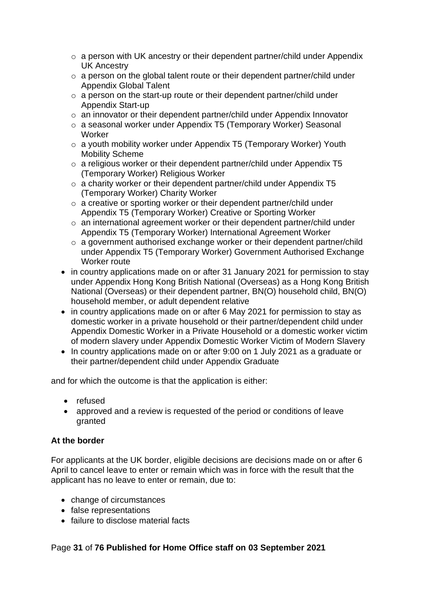- o a person with UK ancestry or their dependent partner/child under Appendix UK Ancestry
- o a person on the global talent route or their dependent partner/child under Appendix Global Talent
- o a person on the start-up route or their dependent partner/child under Appendix Start-up
- o an innovator or their dependent partner/child under Appendix Innovator
- o a seasonal worker under Appendix T5 (Temporary Worker) Seasonal **Worker**
- o a youth mobility worker under Appendix T5 (Temporary Worker) Youth Mobility Scheme
- o a religious worker or their dependent partner/child under Appendix T5 (Temporary Worker) Religious Worker
- o a charity worker or their dependent partner/child under Appendix T5 (Temporary Worker) Charity Worker
- o a creative or sporting worker or their dependent partner/child under Appendix T5 (Temporary Worker) Creative or Sporting Worker
- o an international agreement worker or their dependent partner/child under Appendix T5 (Temporary Worker) International Agreement Worker
- o a government authorised exchange worker or their dependent partner/child under Appendix T5 (Temporary Worker) Government Authorised Exchange Worker route
- in country applications made on or after 31 January 2021 for permission to stay under Appendix Hong Kong British National (Overseas) as a Hong Kong British National (Overseas) or their dependent partner, BN(O) household child, BN(O) household member, or adult dependent relative
- in country applications made on or after 6 May 2021 for permission to stay as domestic worker in a private household or their partner/dependent child under Appendix Domestic Worker in a Private Household or a domestic worker victim of modern slavery under Appendix Domestic Worker Victim of Modern Slavery
- In country applications made on or after 9:00 on 1 July 2021 as a graduate or their partner/dependent child under Appendix Graduate

and for which the outcome is that the application is either:

- refused
- approved and a review is requested of the period or conditions of leave granted

### **At the border**

For applicants at the UK border, eligible decisions are decisions made on or after 6 April to cancel leave to enter or remain which was in force with the result that the applicant has no leave to enter or remain, due to:

- change of circumstances
- false representations
- failure to disclose material facts

### Page **31** of **76 Published for Home Office staff on 03 September 2021**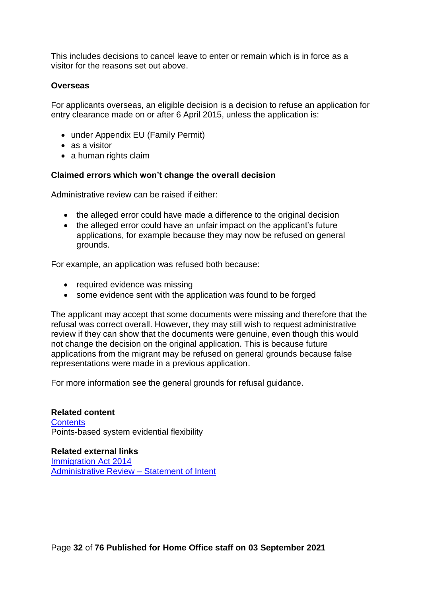This includes decisions to cancel leave to enter or remain which is in force as a visitor for the reasons set out above.

### **Overseas**

For applicants overseas, an eligible decision is a decision to refuse an application for entry clearance made on or after 6 April 2015, unless the application is:

- under Appendix EU (Family Permit)
- as a visitor
- a human rights claim

#### **Claimed errors which won't change the overall decision**

Administrative review can be raised if either:

- the alleged error could have made a difference to the original decision
- the alleged error could have an unfair impact on the applicant's future applications, for example because they may now be refused on general grounds.

For example, an application was refused both because:

- required evidence was missing
- some evidence sent with the application was found to be forged

The applicant may accept that some documents were missing and therefore that the refusal was correct overall. However, they may still wish to request administrative review if they can show that the documents were genuine, even though this would not change the decision on the original application. This is because future applications from the migrant may be refused on general grounds because false representations were made in a previous application.

For more information see the general grounds for refusal guidance.

**Related content [Contents](#page-1-0)** Points-based system evidential flexibility

**Related external links** [Immigration Act 2014](http://www.legislation.gov.uk/ukpga/2014/22/contents/enacted) [Administrative Review –](https://www.gov.uk/government/uploads/system/uploads/attachment_data/file/254851/SoI_Administrative_review.pdf) Statement of Intent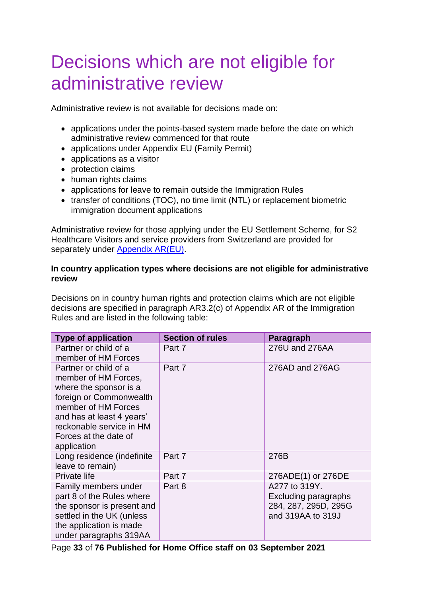# <span id="page-32-0"></span>Decisions which are not eligible for administrative review

Administrative review is not available for decisions made on:

- applications under the points-based system made before the date on which administrative review commenced for that route
- applications under Appendix EU (Family Permit)
- applications as a visitor
- protection claims
- human rights claims
- applications for leave to remain outside the Immigration Rules
- transfer of conditions (TOC), no time limit (NTL) or replacement biometric immigration document applications

Administrative review for those applying under the EU Settlement Scheme, for S2 Healthcare Visitors and service providers from Switzerland are provided for separately under [Appendix AR\(EU\).](https://www.gov.uk/guidance/immigration-rules/immigration-rules-appendix-ar-eu)

### **In country application types where decisions are not eligible for administrative review**

Decisions on in country human rights and protection claims which are not eligible decisions are specified in paragraph AR3.2(c) of Appendix AR of the Immigration Rules and are listed in the following table:

| <b>Type of application</b> | <b>Section of rules</b> | Paragraph            |
|----------------------------|-------------------------|----------------------|
| Partner or child of a      | Part 7                  | 276U and 276AA       |
| member of HM Forces        |                         |                      |
| Partner or child of a      | Part 7                  | 276AD and 276AG      |
| member of HM Forces,       |                         |                      |
| where the sponsor is a     |                         |                      |
| foreign or Commonwealth    |                         |                      |
| member of HM Forces        |                         |                      |
| and has at least 4 years'  |                         |                      |
| reckonable service in HM   |                         |                      |
| Forces at the date of      |                         |                      |
| application                |                         |                      |
| Long residence (indefinite | Part 7                  | 276B                 |
| leave to remain)           |                         |                      |
| Private life               | Part 7                  | 276ADE(1) or 276DE   |
| Family members under       | Part 8                  | A277 to 319Y.        |
| part 8 of the Rules where  |                         | Excluding paragraphs |
| the sponsor is present and |                         | 284, 287, 295D, 295G |
| settled in the UK (unless  |                         | and 319AA to 319J    |
| the application is made    |                         |                      |
| under paragraphs 319AA     |                         |                      |

Page **33** of **76 Published for Home Office staff on 03 September 2021**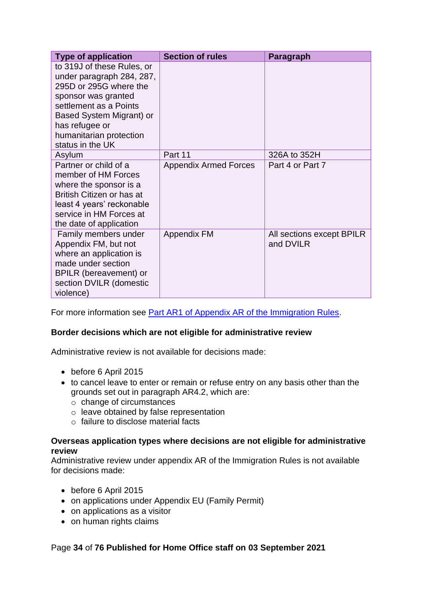| <b>Type of application</b>                                                                                                                                                                                                      | <b>Section of rules</b>      | Paragraph                              |
|---------------------------------------------------------------------------------------------------------------------------------------------------------------------------------------------------------------------------------|------------------------------|----------------------------------------|
| to 319J of these Rules, or<br>under paragraph 284, 287,<br>295D or 295G where the<br>sponsor was granted<br>settlement as a Points<br>Based System Migrant) or<br>has refugee or<br>humanitarian protection<br>status in the UK |                              |                                        |
| Asylum                                                                                                                                                                                                                          | Part 11                      | 326A to 352H                           |
| Partner or child of a<br>member of HM Forces<br>where the sponsor is a<br>British Citizen or has at<br>least 4 years' reckonable<br>service in HM Forces at<br>the date of application                                          | <b>Appendix Armed Forces</b> | Part 4 or Part 7                       |
| Family members under<br>Appendix FM, but not<br>where an application is<br>made under section<br>BPILR (bereavement) or<br>section DVILR (domestic<br>violence)                                                                 | <b>Appendix FM</b>           | All sections except BPILR<br>and DVILR |

For more information see **Part AR1 of Appendix AR of the Immigration Rules**.

### **Border decisions which are not eligible for administrative review**

Administrative review is not available for decisions made:

- before 6 April 2015
- to cancel leave to enter or remain or refuse entry on any basis other than the grounds set out in paragraph AR4.2, which are:
	- o change of circumstances
	- o leave obtained by false representation
	- o failure to disclose material facts

### **Overseas application types where decisions are not eligible for administrative review**

Administrative review under appendix AR of the Immigration Rules is not available for decisions made:

- before 6 April 2015
- on applications under Appendix EU (Family Permit)
- on applications as a visitor
- on human rights claims

### Page **34** of **76 Published for Home Office staff on 03 September 2021**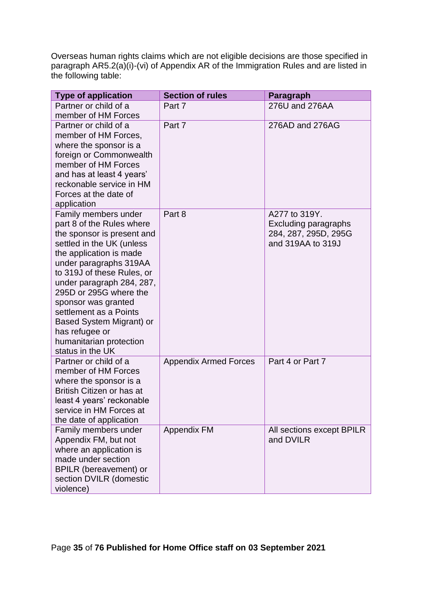Overseas human rights claims which are not eligible decisions are those specified in paragraph AR5.2(a)(i)-(vi) of Appendix AR of the Immigration Rules and are listed in the following table:

| <b>Type of application</b>                                                                                                                                                                                                                                                                                                                                                                           | <b>Section of rules</b>      | Paragraph                                                                                 |
|------------------------------------------------------------------------------------------------------------------------------------------------------------------------------------------------------------------------------------------------------------------------------------------------------------------------------------------------------------------------------------------------------|------------------------------|-------------------------------------------------------------------------------------------|
| Partner or child of a<br>member of HM Forces                                                                                                                                                                                                                                                                                                                                                         | Part 7                       | 276U and 276AA                                                                            |
| Partner or child of a<br>member of HM Forces,<br>where the sponsor is a<br>foreign or Commonwealth<br>member of HM Forces<br>and has at least 4 years'<br>reckonable service in HM<br>Forces at the date of<br>application                                                                                                                                                                           | Part 7                       | 276AD and 276AG                                                                           |
| Family members under<br>part 8 of the Rules where<br>the sponsor is present and<br>settled in the UK (unless<br>the application is made<br>under paragraphs 319AA<br>to 319J of these Rules, or<br>under paragraph 284, 287,<br>295D or 295G where the<br>sponsor was granted<br>settlement as a Points<br>Based System Migrant) or<br>has refugee or<br>humanitarian protection<br>status in the UK | Part 8                       | A277 to 319Y.<br><b>Excluding paragraphs</b><br>284, 287, 295D, 295G<br>and 319AA to 319J |
| Partner or child of a<br>member of HM Forces<br>where the sponsor is a<br>British Citizen or has at<br>least 4 years' reckonable<br>service in HM Forces at<br>the date of application                                                                                                                                                                                                               | <b>Appendix Armed Forces</b> | Part 4 or Part 7                                                                          |
| Family members under<br>Appendix FM, but not<br>where an application is<br>made under section<br><b>BPILR</b> (bereavement) or<br>section DVILR (domestic<br>violence)                                                                                                                                                                                                                               | <b>Appendix FM</b>           | All sections except BPILR<br>and DVILR                                                    |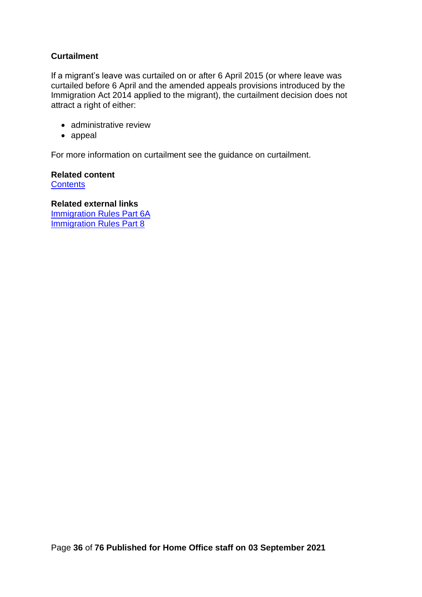### **Curtailment**

If a migrant's leave was curtailed on or after 6 April 2015 (or where leave was curtailed before 6 April and the amended appeals provisions introduced by the Immigration Act 2014 applied to the migrant), the curtailment decision does not attract a right of either:

- administrative review
- appeal

For more information on curtailment see the guidance on curtailment.

**Related content [Contents](#page-1-0)** 

**Related external links** [Immigration Rules Part 6A](https://www.gov.uk/government/publications/immigration-rules-part-6a) [Immigration Rules Part 8](https://www.gov.uk/government/publications/immigration-rules-part-8)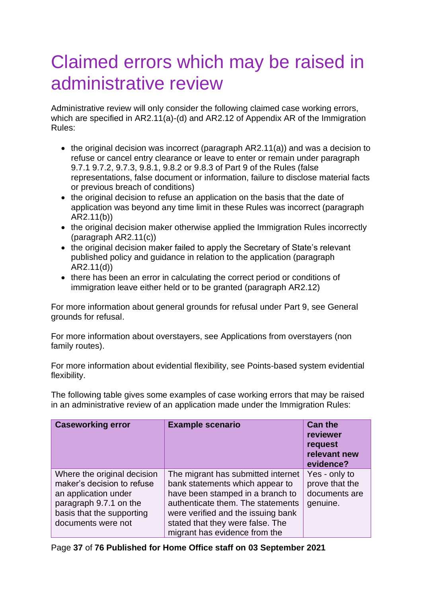# Claimed errors which may be raised in administrative review

Administrative review will only consider the following claimed case working errors, which are specified in AR2.11(a)-(d) and AR2.12 of Appendix AR of the Immigration Rules:

- the original decision was incorrect (paragraph AR2.11(a)) and was a decision to refuse or cancel entry clearance or leave to enter or remain under paragraph 9.7.1 9.7.2, 9.7.3, 9.8.1, 9.8.2 or 9.8.3 of Part 9 of the Rules (false representations, false document or information, failure to disclose material facts or previous breach of conditions)
- the original decision to refuse an application on the basis that the date of application was beyond any time limit in these Rules was incorrect (paragraph AR2.11(b))
- the original decision maker otherwise applied the Immigration Rules incorrectly (paragraph AR2.11(c))
- the original decision maker failed to apply the Secretary of State's relevant published policy and guidance in relation to the application (paragraph AR2.11(d))
- there has been an error in calculating the correct period or conditions of immigration leave either held or to be granted (paragraph AR2.12)

For more information about general grounds for refusal under Part 9, see General grounds for refusal.

For more information about overstayers, see Applications from overstayers (non family routes).

For more information about evidential flexibility, see Points-based system evidential flexibility.

The following table gives some examples of case working errors that may be raised in an administrative review of an application made under the Immigration Rules:

| <b>Caseworking error</b>                                                                                                                                       | <b>Example scenario</b>                                                                                                                                                                                                                                   | <b>Can the</b><br>reviewer<br>request<br>relevant new<br>evidence? |
|----------------------------------------------------------------------------------------------------------------------------------------------------------------|-----------------------------------------------------------------------------------------------------------------------------------------------------------------------------------------------------------------------------------------------------------|--------------------------------------------------------------------|
| Where the original decision<br>maker's decision to refuse<br>an application under<br>paragraph 9.7.1 on the<br>basis that the supporting<br>documents were not | The migrant has submitted internet<br>bank statements which appear to<br>have been stamped in a branch to<br>authenticate them. The statements<br>were verified and the issuing bank<br>stated that they were false. The<br>migrant has evidence from the | Yes - only to<br>prove that the<br>documents are<br>genuine.       |

Page **37** of **76 Published for Home Office staff on 03 September 2021**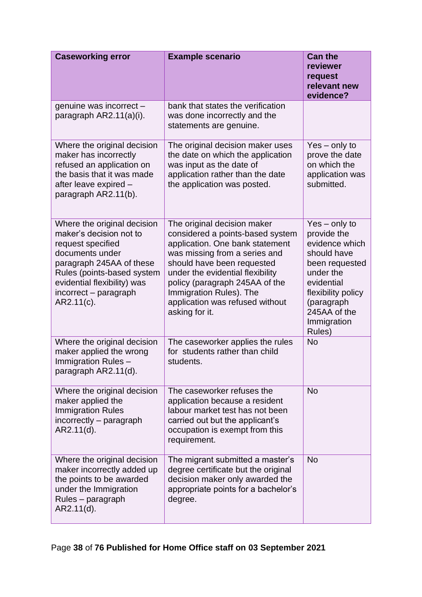| <b>Caseworking error</b>                                                                                                                                                                                                       | <b>Example scenario</b>                                                                                                                                                                                                                                                                                                 | <b>Can the</b><br>reviewer<br>request<br>relevant new<br>evidence?                                                                                                                        |
|--------------------------------------------------------------------------------------------------------------------------------------------------------------------------------------------------------------------------------|-------------------------------------------------------------------------------------------------------------------------------------------------------------------------------------------------------------------------------------------------------------------------------------------------------------------------|-------------------------------------------------------------------------------------------------------------------------------------------------------------------------------------------|
| genuine was incorrect -<br>paragraph AR2.11(a)(i).                                                                                                                                                                             | bank that states the verification<br>was done incorrectly and the<br>statements are genuine.                                                                                                                                                                                                                            |                                                                                                                                                                                           |
| Where the original decision<br>maker has incorrectly<br>refused an application on<br>the basis that it was made<br>after leave expired -<br>paragraph AR2.11(b).                                                               | The original decision maker uses<br>the date on which the application<br>was input as the date of<br>application rather than the date<br>the application was posted.                                                                                                                                                    | $Yes - only to$<br>prove the date<br>on which the<br>application was<br>submitted.                                                                                                        |
| Where the original decision<br>maker's decision not to<br>request specified<br>documents under<br>paragraph 245AA of these<br>Rules (points-based system<br>evidential flexibility) was<br>incorrect - paragraph<br>AR2.11(c). | The original decision maker<br>considered a points-based system<br>application. One bank statement<br>was missing from a series and<br>should have been requested<br>under the evidential flexibility<br>policy (paragraph 245AA of the<br>Immigration Rules). The<br>application was refused without<br>asking for it. | $Yes - only to$<br>provide the<br>evidence which<br>should have<br>been requested<br>under the<br>evidential<br>flexibility policy<br>(paragraph<br>245AA of the<br>Immigration<br>Rules) |
| Where the original decision<br>maker applied the wrong<br>Immigration Rules -<br>paragraph AR2.11(d).                                                                                                                          | The caseworker applies the rules<br>for students rather than child<br>students.                                                                                                                                                                                                                                         | <b>No</b>                                                                                                                                                                                 |
| Where the original decision<br>maker applied the<br><b>Immigration Rules</b><br>incorrectly – paragraph<br>$AR2.11(d)$ .                                                                                                       | The caseworker refuses the<br>application because a resident<br>labour market test has not been<br>carried out but the applicant's<br>occupation is exempt from this<br>requirement.                                                                                                                                    | <b>No</b>                                                                                                                                                                                 |
| Where the original decision<br>maker incorrectly added up<br>the points to be awarded<br>under the Immigration<br>Rules - paragraph<br>AR2.11(d).                                                                              | The migrant submitted a master's<br>degree certificate but the original<br>decision maker only awarded the<br>appropriate points for a bachelor's<br>degree.                                                                                                                                                            | <b>No</b>                                                                                                                                                                                 |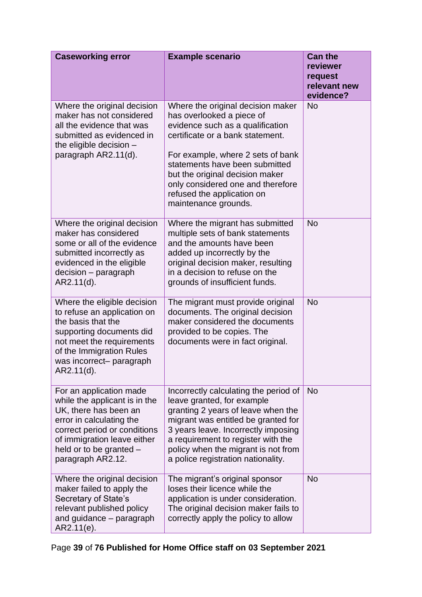| <b>Caseworking error</b>                                                                                                                                                                                                     | <b>Example scenario</b>                                                                                                                                                                                                                                                                                                                     | <b>Can the</b><br>reviewer<br>request<br>relevant new<br>evidence? |
|------------------------------------------------------------------------------------------------------------------------------------------------------------------------------------------------------------------------------|---------------------------------------------------------------------------------------------------------------------------------------------------------------------------------------------------------------------------------------------------------------------------------------------------------------------------------------------|--------------------------------------------------------------------|
| Where the original decision<br>maker has not considered<br>all the evidence that was<br>submitted as evidenced in<br>the eligible decision -<br>paragraph AR2.11(d).                                                         | Where the original decision maker<br>has overlooked a piece of<br>evidence such as a qualification<br>certificate or a bank statement.<br>For example, where 2 sets of bank<br>statements have been submitted<br>but the original decision maker<br>only considered one and therefore<br>refused the application on<br>maintenance grounds. | <b>No</b>                                                          |
| Where the original decision<br>maker has considered<br>some or all of the evidence<br>submitted incorrectly as<br>evidenced in the eligible<br>decision - paragraph<br>AR2.11(d).                                            | Where the migrant has submitted<br>multiple sets of bank statements<br>and the amounts have been<br>added up incorrectly by the<br>original decision maker, resulting<br>in a decision to refuse on the<br>grounds of insufficient funds.                                                                                                   | <b>No</b>                                                          |
| Where the eligible decision<br>to refuse an application on<br>the basis that the<br>supporting documents did<br>not meet the requirements<br>of the Immigration Rules<br>was incorrect- paragraph<br>$AR2.11(d)$ .           | The migrant must provide original<br>documents. The original decision<br>maker considered the documents<br>provided to be copies. The<br>documents were in fact original.                                                                                                                                                                   | <b>No</b>                                                          |
| For an application made<br>while the applicant is in the<br>UK, there has been an<br>error in calculating the<br>correct period or conditions<br>of immigration leave either<br>held or to be granted -<br>paragraph AR2.12. | Incorrectly calculating the period of<br>leave granted, for example<br>granting 2 years of leave when the<br>migrant was entitled be granted for<br>3 years leave. Incorrectly imposing<br>a requirement to register with the<br>policy when the migrant is not from<br>a police registration nationality.                                  | <b>No</b>                                                          |
| Where the original decision<br>maker failed to apply the<br>Secretary of State's<br>relevant published policy<br>and guidance – paragraph<br>AR2.11(e).                                                                      | The migrant's original sponsor<br>loses their licence while the<br>application is under consideration.<br>The original decision maker fails to<br>correctly apply the policy to allow                                                                                                                                                       | <b>No</b>                                                          |

Page **39** of **76 Published for Home Office staff on 03 September 2021**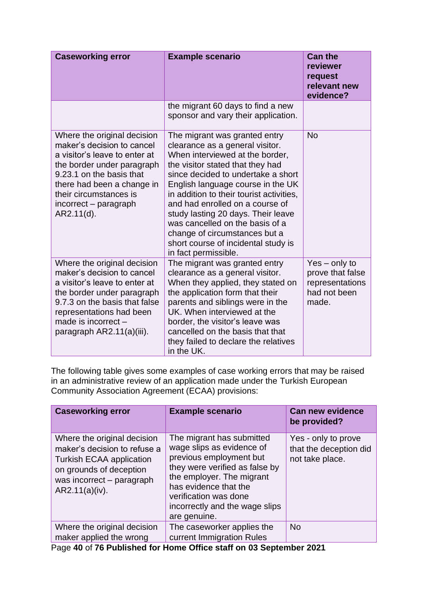| <b>Caseworking error</b>                                                                                                                                                                                                                               | <b>Example scenario</b>                                                                                                                                                                                                                                                                                                                                                                                                                                                    | <b>Can the</b><br>reviewer<br>request<br>relevant new<br>evidence?              |
|--------------------------------------------------------------------------------------------------------------------------------------------------------------------------------------------------------------------------------------------------------|----------------------------------------------------------------------------------------------------------------------------------------------------------------------------------------------------------------------------------------------------------------------------------------------------------------------------------------------------------------------------------------------------------------------------------------------------------------------------|---------------------------------------------------------------------------------|
|                                                                                                                                                                                                                                                        | the migrant 60 days to find a new<br>sponsor and vary their application.                                                                                                                                                                                                                                                                                                                                                                                                   |                                                                                 |
| Where the original decision<br>maker's decision to cancel<br>a visitor's leave to enter at<br>the border under paragraph<br>9.23.1 on the basis that<br>there had been a change in<br>their circumstances is<br>incorrect - paragraph<br>$AR2.11(d)$ . | The migrant was granted entry<br>clearance as a general visitor.<br>When interviewed at the border,<br>the visitor stated that they had<br>since decided to undertake a short<br>English language course in the UK<br>in addition to their tourist activities,<br>and had enrolled on a course of<br>study lasting 20 days. Their leave<br>was cancelled on the basis of a<br>change of circumstances but a<br>short course of incidental study is<br>in fact permissible. | <b>No</b>                                                                       |
| Where the original decision<br>maker's decision to cancel<br>a visitor's leave to enter at<br>the border under paragraph<br>9.7.3 on the basis that false<br>representations had been<br>made is incorrect -<br>paragraph AR2.11(a)(iii).              | The migrant was granted entry<br>clearance as a general visitor.<br>When they applied, they stated on<br>the application form that their<br>parents and siblings were in the<br>UK. When interviewed at the<br>border, the visitor's leave was<br>cancelled on the basis that that<br>they failed to declare the relatives<br>in the UK.                                                                                                                                   | $Yes - only to$<br>prove that false<br>representations<br>had not been<br>made. |

The following table gives some examples of case working errors that may be raised in an administrative review of an application made under the Turkish European Community Association Agreement (ECAA) provisions:

| <b>Caseworking error</b>                                                                                                                                                 | <b>Example scenario</b>                                                                                                                                                                                                                              | <b>Can new evidence</b><br>be provided?                          |
|--------------------------------------------------------------------------------------------------------------------------------------------------------------------------|------------------------------------------------------------------------------------------------------------------------------------------------------------------------------------------------------------------------------------------------------|------------------------------------------------------------------|
| Where the original decision<br>maker's decision to refuse a<br><b>Turkish ECAA application</b><br>on grounds of deception<br>was incorrect – paragraph<br>AR2.11(a)(iv). | The migrant has submitted<br>wage slips as evidence of<br>previous employment but<br>they were verified as false by<br>the employer. The migrant<br>has evidence that the<br>verification was done<br>incorrectly and the wage slips<br>are genuine. | Yes - only to prove<br>that the deception did<br>not take place. |
| Where the original decision                                                                                                                                              | The caseworker applies the                                                                                                                                                                                                                           | <b>No</b>                                                        |
| maker applied the wrong                                                                                                                                                  | current Immigration Rules                                                                                                                                                                                                                            |                                                                  |

Page **40** of **76 Published for Home Office staff on 03 September 2021**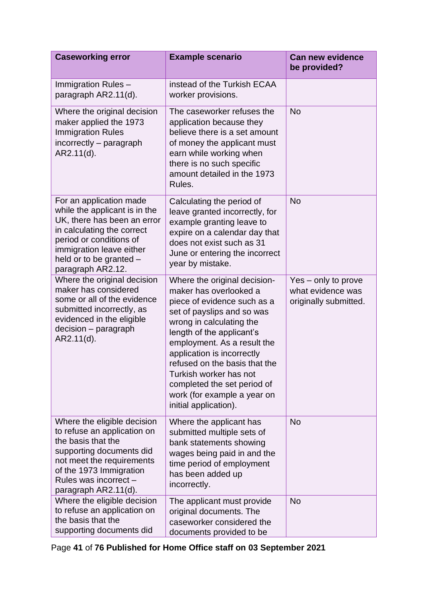| <b>Caseworking error</b>                                                                                                                                                                                                     | <b>Example scenario</b>                                                                                                                                                                                                                                                                                                                                                                     | <b>Can new evidence</b><br>be provided?                           |
|------------------------------------------------------------------------------------------------------------------------------------------------------------------------------------------------------------------------------|---------------------------------------------------------------------------------------------------------------------------------------------------------------------------------------------------------------------------------------------------------------------------------------------------------------------------------------------------------------------------------------------|-------------------------------------------------------------------|
| Immigration Rules -<br>paragraph AR2.11(d).                                                                                                                                                                                  | instead of the Turkish ECAA<br>worker provisions.                                                                                                                                                                                                                                                                                                                                           |                                                                   |
| Where the original decision<br>maker applied the 1973<br><b>Immigration Rules</b><br>incorrectly - paragraph<br>AR2.11(d).                                                                                                   | The caseworker refuses the<br>application because they<br>believe there is a set amount<br>of money the applicant must<br>earn while working when<br>there is no such specific<br>amount detailed in the 1973<br>Rules.                                                                                                                                                                     | <b>No</b>                                                         |
| For an application made<br>while the applicant is in the<br>UK, there has been an error<br>in calculating the correct<br>period or conditions of<br>immigration leave either<br>held or to be granted -<br>paragraph AR2.12. | Calculating the period of<br>leave granted incorrectly, for<br>example granting leave to<br>expire on a calendar day that<br>does not exist such as 31<br>June or entering the incorrect<br>year by mistake.                                                                                                                                                                                | <b>No</b>                                                         |
| Where the original decision<br>maker has considered<br>some or all of the evidence<br>submitted incorrectly, as<br>evidenced in the eligible<br>decision - paragraph<br>AR2.11(d).                                           | Where the original decision-<br>maker has overlooked a<br>piece of evidence such as a<br>set of payslips and so was<br>wrong in calculating the<br>length of the applicant's<br>employment. As a result the<br>application is incorrectly<br>refused on the basis that the<br>Turkish worker has not<br>completed the set period of<br>work (for example a year on<br>initial application). | Yes - only to prove<br>what evidence was<br>originally submitted. |
| Where the eligible decision<br>to refuse an application on<br>the basis that the<br>supporting documents did<br>not meet the requirements<br>of the 1973 Immigration<br>Rules was incorrect -<br>paragraph AR2.11(d).        | Where the applicant has<br>submitted multiple sets of<br>bank statements showing<br>wages being paid in and the<br>time period of employment<br>has been added up<br>incorrectly.                                                                                                                                                                                                           | <b>No</b>                                                         |
| Where the eligible decision<br>to refuse an application on<br>the basis that the<br>supporting documents did                                                                                                                 | The applicant must provide<br>original documents. The<br>caseworker considered the<br>documents provided to be                                                                                                                                                                                                                                                                              | <b>No</b>                                                         |

Page **41** of **76 Published for Home Office staff on 03 September 2021**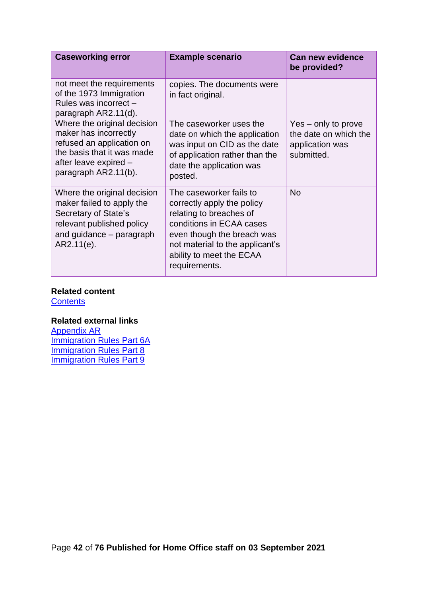| <b>Caseworking error</b>                                                                                                                                         | <b>Example scenario</b>                                                                                                                                                                                                    | <b>Can new evidence</b><br>be provided?                                       |
|------------------------------------------------------------------------------------------------------------------------------------------------------------------|----------------------------------------------------------------------------------------------------------------------------------------------------------------------------------------------------------------------------|-------------------------------------------------------------------------------|
| not meet the requirements<br>of the 1973 Immigration<br>Rules was incorrect -<br>paragraph AR2.11(d).                                                            | copies. The documents were<br>in fact original.                                                                                                                                                                            |                                                                               |
| Where the original decision<br>maker has incorrectly<br>refused an application on<br>the basis that it was made<br>after leave expired -<br>paragraph AR2.11(b). | The caseworker uses the<br>date on which the application<br>was input on CID as the date<br>of application rather than the<br>date the application was<br>posted.                                                          | Yes – only to prove<br>the date on which the<br>application was<br>submitted. |
| Where the original decision<br>maker failed to apply the<br>Secretary of State's<br>relevant published policy<br>and guidance – paragraph<br>$AR2.11(e)$ .       | The caseworker fails to<br>correctly apply the policy<br>relating to breaches of<br>conditions in ECAA cases<br>even though the breach was<br>not material to the applicant's<br>ability to meet the ECAA<br>requirements. | <b>No</b>                                                                     |

# **Related content**

**[Contents](#page-1-0)** 

# **Related external links**

[Appendix AR](https://www.gov.uk/government/collections/immigration-rules) [Immigration Rules Part 6A](https://www.gov.uk/government/publications/immigration-rules-part-6a) **[Immigration Rules Part 8](https://www.gov.uk/government/publications/immigration-rules-part-8)** [Immigration Rules Part 9](https://www.gov.uk/government/publications/immigration-rules-part-9)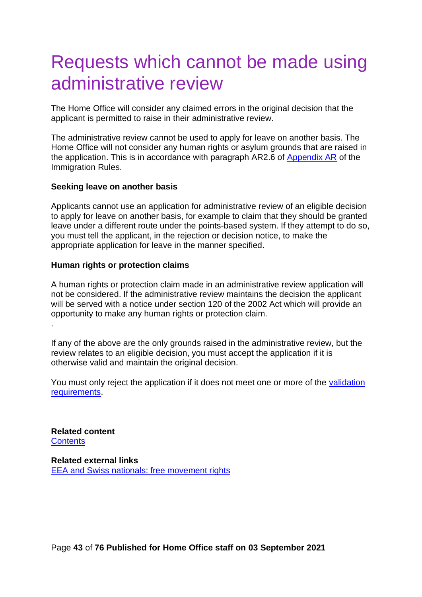# Requests which cannot be made using administrative review

The Home Office will consider any claimed errors in the original decision that the applicant is permitted to raise in their administrative review.

The administrative review cannot be used to apply for leave on another basis. The Home Office will not consider any human rights or asylum grounds that are raised in the application. This is in accordance with paragraph AR2.6 of [Appendix AR](https://www.gov.uk/guidance/immigration-rules/immigration-rules-appendix-ar-administrative-review) of the Immigration Rules.

#### **Seeking leave on another basis**

Applicants cannot use an application for administrative review of an eligible decision to apply for leave on another basis, for example to claim that they should be granted leave under a different route under the points-based system. If they attempt to do so, you must tell the applicant, in the rejection or decision notice, to make the appropriate application for leave in the manner specified.

#### **Human rights or protection claims**

A human rights or protection claim made in an administrative review application will not be considered. If the administrative review maintains the decision the applicant will be served with a notice under section 120 of the 2002 Act which will provide an opportunity to make any human rights or protection claim. .

If any of the above are the only grounds raised in the administrative review, but the review relates to an eligible decision, you must accept the application if it is otherwise valid and maintain the original decision.

You must only reject the application if it does not meet one or more of the [validation](#page-43-0)  [requirements.](#page-43-0)

**Related content [Contents](#page-1-0)** 

<span id="page-42-0"></span>**Related external links** [EEA and Swiss nationals: free movement rights](https://www.gov.uk/government/publications/eea-and-swiss-nationals-free-movement-rights)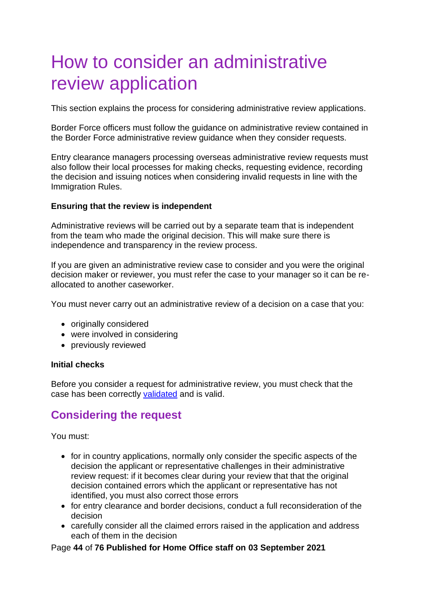# <span id="page-43-0"></span>How to consider an administrative review application

This section explains the process for considering administrative review applications.

Border Force officers must follow the guidance on administrative review contained in the Border Force administrative review guidance when they consider requests.

Entry clearance managers processing overseas administrative review requests must also follow their local processes for making checks, requesting evidence, recording the decision and issuing notices when considering invalid requests in line with the Immigration Rules.

# **Ensuring that the review is independent**

Administrative reviews will be carried out by a separate team that is independent from the team who made the original decision. This will make sure there is independence and transparency in the review process.

If you are given an administrative review case to consider and you were the original decision maker or reviewer, you must refer the case to your manager so it can be reallocated to another caseworker.

You must never carry out an administrative review of a decision on a case that you:

- originally considered
- were involved in considering
- previously reviewed

#### **Initial checks**

Before you consider a request for administrative review, you must check that the case has been correctly [validated](#page-42-0) and is valid.

# **Considering the request**

You must:

- for in country applications, normally only consider the specific aspects of the decision the applicant or representative challenges in their administrative review request: if it becomes clear during your review that that the original decision contained errors which the applicant or representative has not identified, you must also correct those errors
- for entry clearance and border decisions, conduct a full reconsideration of the decision
- carefully consider all the claimed errors raised in the application and address each of them in the decision

Page **44** of **76 Published for Home Office staff on 03 September 2021**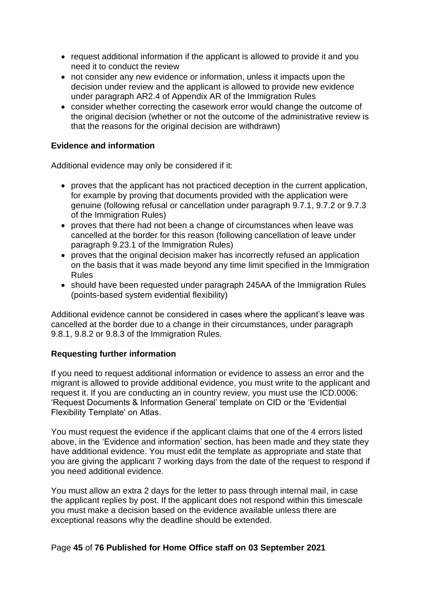- request additional information if the applicant is allowed to provide it and you need it to conduct the review
- not consider any new evidence or information, unless it impacts upon the decision under review and the applicant is allowed to provide new evidence under paragraph AR2.4 of Appendix AR of the Immigration Rules
- consider whether correcting the casework error would change the outcome of the original decision (whether or not the outcome of the administrative review is that the reasons for the original decision are withdrawn)

# **Evidence and information**

Additional evidence may only be considered if it:

- proves that the applicant has not practiced deception in the current application, for example by proving that documents provided with the application were genuine (following refusal or cancellation under paragraph 9.7.1, 9.7.2 or 9.7.3 of the Immigration Rules)
- proves that there had not been a change of circumstances when leave was cancelled at the border for this reason (following cancellation of leave under paragraph 9.23.1 of the Immigration Rules)
- proves that the original decision maker has incorrectly refused an application on the basis that it was made beyond any time limit specified in the Immigration Rules
- should have been requested under paragraph 245AA of the Immigration Rules (points-based system evidential flexibility)

Additional evidence cannot be considered in cases where the applicant's leave was cancelled at the border due to a change in their circumstances, under paragraph 9.8.1, 9.8.2 or 9.8.3 of the Immigration Rules.

# **Requesting further information**

If you need to request additional information or evidence to assess an error and the migrant is allowed to provide additional evidence, you must write to the applicant and request it. If you are conducting an in country review, you must use the ICD.0006: 'Request Documents & Information General' template on CID or the 'Evidential Flexibility Template' on Atlas.

You must request the evidence if the applicant claims that one of the 4 errors listed above, in the 'Evidence and information' section, has been made and they state they have additional evidence. You must edit the template as appropriate and state that you are giving the applicant 7 working days from the date of the request to respond if you need additional evidence.

You must allow an extra 2 days for the letter to pass through internal mail, in case the applicant replies by post. If the applicant does not respond within this timescale you must make a decision based on the evidence available unless there are exceptional reasons why the deadline should be extended.

# Page **45** of **76 Published for Home Office staff on 03 September 2021**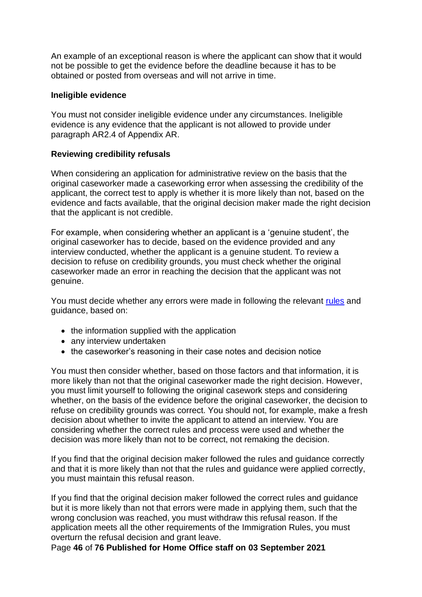An example of an exceptional reason is where the applicant can show that it would not be possible to get the evidence before the deadline because it has to be obtained or posted from overseas and will not arrive in time.

### **Ineligible evidence**

You must not consider ineligible evidence under any circumstances. Ineligible evidence is any evidence that the applicant is not allowed to provide under paragraph AR2.4 of Appendix AR.

# **Reviewing credibility refusals**

When considering an application for administrative review on the basis that the original caseworker made a caseworking error when assessing the credibility of the applicant, the correct test to apply is whether it is more likely than not, based on the evidence and facts available, that the original decision maker made the right decision that the applicant is not credible.

For example, when considering whether an applicant is a 'genuine student', the original caseworker has to decide, based on the evidence provided and any interview conducted, whether the applicant is a genuine student. To review a decision to refuse on credibility grounds, you must check whether the original caseworker made an error in reaching the decision that the applicant was not genuine.

You must decide whether any errors were made in following the relevant [rules](https://www.gov.uk/guidance/immigration-rules/immigration-rules-part-6a-the-points-based-system) and guidance, based on:

- the information supplied with the application
- any interview undertaken
- the caseworker's reasoning in their case notes and decision notice

You must then consider whether, based on those factors and that information, it is more likely than not that the original caseworker made the right decision. However, you must limit yourself to following the original casework steps and considering whether, on the basis of the evidence before the original caseworker, the decision to refuse on credibility grounds was correct. You should not, for example, make a fresh decision about whether to invite the applicant to attend an interview. You are considering whether the correct rules and process were used and whether the decision was more likely than not to be correct, not remaking the decision.

If you find that the original decision maker followed the rules and guidance correctly and that it is more likely than not that the rules and guidance were applied correctly, you must maintain this refusal reason.

If you find that the original decision maker followed the correct rules and guidance but it is more likely than not that errors were made in applying them, such that the wrong conclusion was reached, you must withdraw this refusal reason. If the application meets all the other requirements of the Immigration Rules, you must overturn the refusal decision and grant leave.

Page **46** of **76 Published for Home Office staff on 03 September 2021**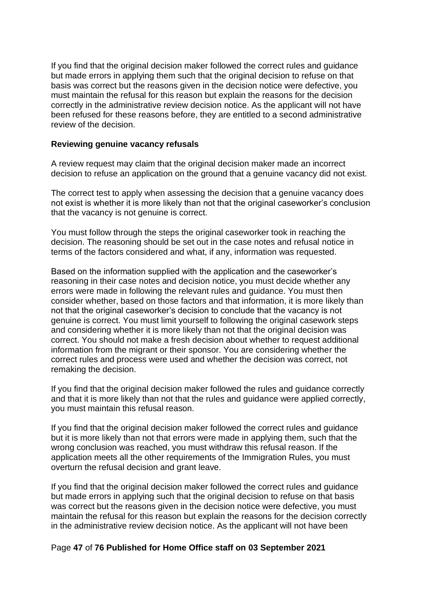If you find that the original decision maker followed the correct rules and guidance but made errors in applying them such that the original decision to refuse on that basis was correct but the reasons given in the decision notice were defective, you must maintain the refusal for this reason but explain the reasons for the decision correctly in the administrative review decision notice. As the applicant will not have been refused for these reasons before, they are entitled to a second administrative review of the decision.

#### **Reviewing genuine vacancy refusals**

A review request may claim that the original decision maker made an incorrect decision to refuse an application on the ground that a genuine vacancy did not exist.

The correct test to apply when assessing the decision that a genuine vacancy does not exist is whether it is more likely than not that the original caseworker's conclusion that the vacancy is not genuine is correct.

You must follow through the steps the original caseworker took in reaching the decision. The reasoning should be set out in the case notes and refusal notice in terms of the factors considered and what, if any, information was requested.

Based on the information supplied with the application and the caseworker's reasoning in their case notes and decision notice, you must decide whether any errors were made in following the relevant rules and guidance. You must then consider whether, based on those factors and that information, it is more likely than not that the original caseworker's decision to conclude that the vacancy is not genuine is correct. You must limit yourself to following the original casework steps and considering whether it is more likely than not that the original decision was correct. You should not make a fresh decision about whether to request additional information from the migrant or their sponsor. You are considering whether the correct rules and process were used and whether the decision was correct, not remaking the decision.

If you find that the original decision maker followed the rules and guidance correctly and that it is more likely than not that the rules and guidance were applied correctly, you must maintain this refusal reason.

If you find that the original decision maker followed the correct rules and guidance but it is more likely than not that errors were made in applying them, such that the wrong conclusion was reached, you must withdraw this refusal reason. If the application meets all the other requirements of the Immigration Rules, you must overturn the refusal decision and grant leave.

If you find that the original decision maker followed the correct rules and guidance but made errors in applying such that the original decision to refuse on that basis was correct but the reasons given in the decision notice were defective, you must maintain the refusal for this reason but explain the reasons for the decision correctly in the administrative review decision notice. As the applicant will not have been

# Page **47** of **76 Published for Home Office staff on 03 September 2021**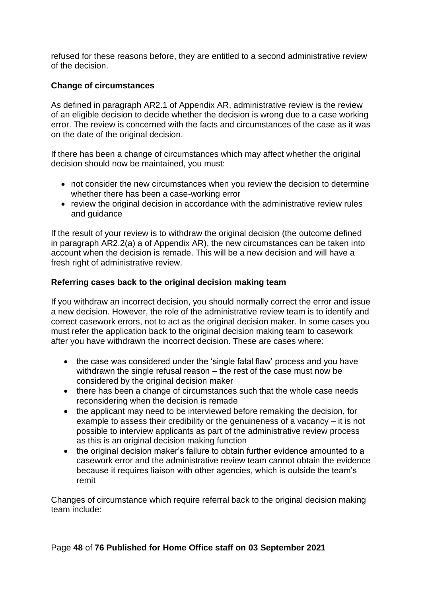refused for these reasons before, they are entitled to a second administrative review of the decision.

# **Change of circumstances**

As defined in paragraph AR2.1 of Appendix AR, administrative review is the review of an eligible decision to decide whether the decision is wrong due to a case working error. The review is concerned with the facts and circumstances of the case as it was on the date of the original decision.

If there has been a change of circumstances which may affect whether the original decision should now be maintained, you must:

- not consider the new circumstances when you review the decision to determine whether there has been a case-working error
- review the original decision in accordance with the administrative review rules and guidance

If the result of your review is to withdraw the original decision (the outcome defined in paragraph AR2.2(a) a of Appendix AR), the new circumstances can be taken into account when the decision is remade. This will be a new decision and will have a fresh right of administrative review.

# <span id="page-47-0"></span>**Referring cases back to the original decision making team**

If you withdraw an incorrect decision, you should normally correct the error and issue a new decision. However, the role of the administrative review team is to identify and correct casework errors, not to act as the original decision maker. In some cases you must refer the application back to the original decision making team to casework after you have withdrawn the incorrect decision. These are cases where:

- the case was considered under the 'single fatal flaw' process and you have withdrawn the single refusal reason – the rest of the case must now be considered by the original decision maker
- there has been a change of circumstances such that the whole case needs reconsidering when the decision is remade
- the applicant may need to be interviewed before remaking the decision, for example to assess their credibility or the genuineness of a vacancy – it is not possible to interview applicants as part of the administrative review process as this is an original decision making function
- the original decision maker's failure to obtain further evidence amounted to a casework error and the administrative review team cannot obtain the evidence because it requires liaison with other agencies, which is outside the team's remit

Changes of circumstance which require referral back to the original decision making team include: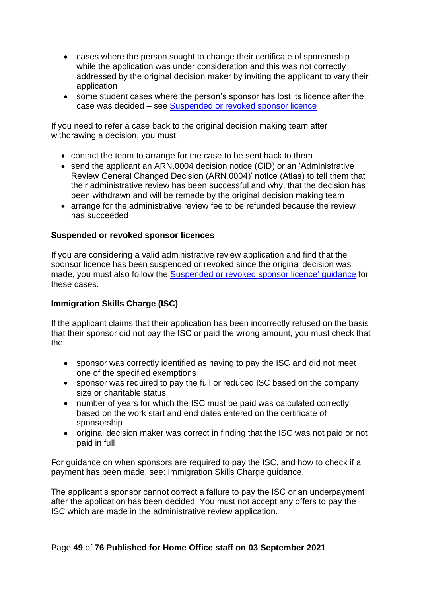- cases where the person sought to change their certificate of sponsorship while the application was under consideration and this was not correctly addressed by the original decision maker by inviting the applicant to vary their application
- some student cases where the person's sponsor has lost its licence after the case was decided – see [Suspended or revoked sponsor licence](#page-50-0)

If you need to refer a case back to the original decision making team after withdrawing a decision, you must:

- contact the team to arrange for the case to be sent back to them
- send the applicant an ARN.0004 decision notice (CID) or an 'Administrative Review General Changed Decision (ARN.0004)' notice (Atlas) to tell them that their administrative review has been successful and why, that the decision has been withdrawn and will be remade by the original decision making team
- arrange for the administrative review fee to be refunded because the review has succeeded

# **Suspended or revoked sponsor licences**

If you are considering a valid administrative review application and find that the sponsor licence has been suspended or revoked since the original decision was made, you must also follow the [Suspended or revoked sponsor licence'](#page-50-0) guidance for these cases.

# **Immigration Skills Charge (ISC)**

If the applicant claims that their application has been incorrectly refused on the basis that their sponsor did not pay the ISC or paid the wrong amount, you must check that the:

- sponsor was correctly identified as having to pay the ISC and did not meet one of the specified exemptions
- sponsor was required to pay the full or reduced ISC based on the company size or charitable status
- number of years for which the ISC must be paid was calculated correctly based on the work start and end dates entered on the certificate of sponsorship
- original decision maker was correct in finding that the ISC was not paid or not paid in full

For guidance on when sponsors are required to pay the ISC, and how to check if a payment has been made, see: Immigration Skills Charge guidance.

The applicant's sponsor cannot correct a failure to pay the ISC or an underpayment after the application has been decided. You must not accept any offers to pay the ISC which are made in the administrative review application.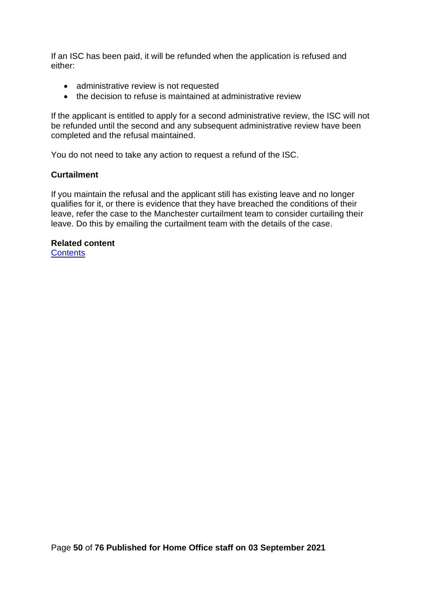If an ISC has been paid, it will be refunded when the application is refused and either:

- administrative review is not requested
- the decision to refuse is maintained at administrative review

If the applicant is entitled to apply for a second administrative review, the ISC will not be refunded until the second and any subsequent administrative review have been completed and the refusal maintained.

You do not need to take any action to request a refund of the ISC.

# **Curtailment**

If you maintain the refusal and the applicant still has existing leave and no longer qualifies for it, or there is evidence that they have breached the conditions of their leave, refer the case to the Manchester curtailment team to consider curtailing their leave. Do this by emailing the curtailment team with the details of the case.

# **Related content**

**[Contents](#page-1-0)**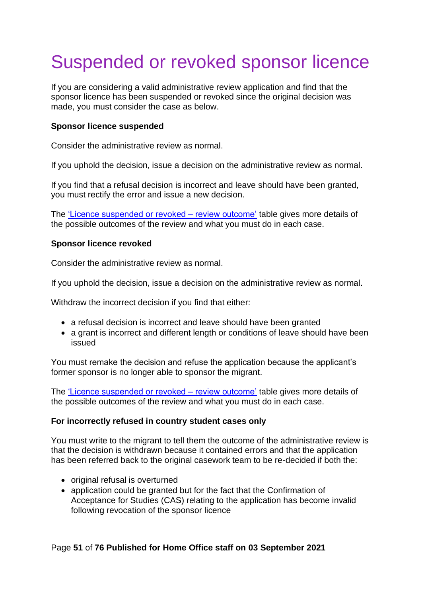# <span id="page-50-0"></span>Suspended or revoked sponsor licence

If you are considering a valid administrative review application and find that the sponsor licence has been suspended or revoked since the original decision was made, you must consider the case as below.

### **Sponsor licence suspended**

Consider the administrative review as normal.

If you uphold the decision, issue a decision on the administrative review as normal.

If you find that a refusal decision is incorrect and leave should have been granted, you must rectify the error and issue a new decision.

The ['Licence suspended or revoked –](#page-51-0) review outcome' table gives more details of the possible outcomes of the review and what you must do in each case.

# **Sponsor licence revoked**

Consider the administrative review as normal.

If you uphold the decision, issue a decision on the administrative review as normal.

Withdraw the incorrect decision if you find that either:

- a refusal decision is incorrect and leave should have been granted
- a grant is incorrect and different length or conditions of leave should have been issued

You must remake the decision and refuse the application because the applicant's former sponsor is no longer able to sponsor the migrant.

The ['Licence suspended or revoked –](#page-51-0) review outcome' table gives more details of the possible outcomes of the review and what you must do in each case.

# **For incorrectly refused in country student cases only**

You must write to the migrant to tell them the outcome of the administrative review is that the decision is withdrawn because it contained errors and that the application has been referred back to the original casework team to be re-decided if both the:

- original refusal is overturned
- application could be granted but for the fact that the Confirmation of Acceptance for Studies (CAS) relating to the application has become invalid following revocation of the sponsor licence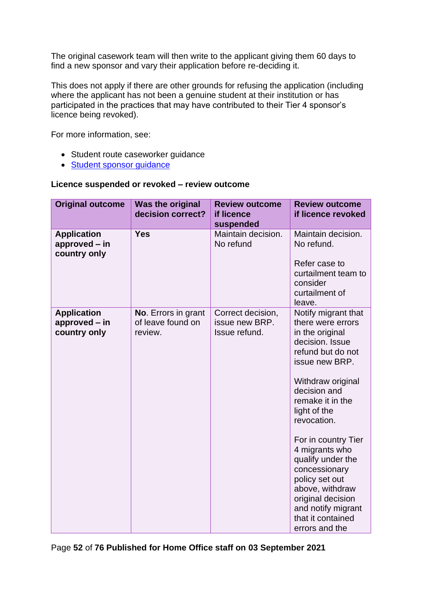The original casework team will then write to the applicant giving them 60 days to find a new sponsor and vary their application before re-deciding it.

This does not apply if there are other grounds for refusing the application (including where the applicant has not been a genuine student at their institution or has participated in the practices that may have contributed to their Tier 4 sponsor's licence being revoked).

For more information, see:

- Student route caseworker guidance
- [Student sponsor guidance](https://www.gov.uk/government/publications/student-sponsor-guidance)

#### <span id="page-51-0"></span>**Licence suspended or revoked – review outcome**

| <b>Original outcome</b>                             | <b>Was the original</b><br>decision correct?        | <b>Review outcome</b><br>if licence<br>suspended     | <b>Review outcome</b><br>if licence revoked                                                                                                                                                                                                                                                                                                                                                                         |
|-----------------------------------------------------|-----------------------------------------------------|------------------------------------------------------|---------------------------------------------------------------------------------------------------------------------------------------------------------------------------------------------------------------------------------------------------------------------------------------------------------------------------------------------------------------------------------------------------------------------|
| <b>Application</b><br>approved – in<br>country only | <b>Yes</b>                                          | Maintain decision.<br>No refund                      | Maintain decision.<br>No refund.<br>Refer case to<br>curtailment team to<br>consider<br>curtailment of<br>leave.                                                                                                                                                                                                                                                                                                    |
| <b>Application</b><br>approved – in<br>country only | No. Errors in grant<br>of leave found on<br>review. | Correct decision,<br>issue new BRP.<br>Issue refund. | Notify migrant that<br>there were errors<br>in the original<br>decision. Issue<br>refund but do not<br>issue new BRP.<br>Withdraw original<br>decision and<br>remake it in the<br>light of the<br>revocation.<br>For in country Tier<br>4 migrants who<br>qualify under the<br>concessionary<br>policy set out<br>above, withdraw<br>original decision<br>and notify migrant<br>that it contained<br>errors and the |

Page **52** of **76 Published for Home Office staff on 03 September 2021**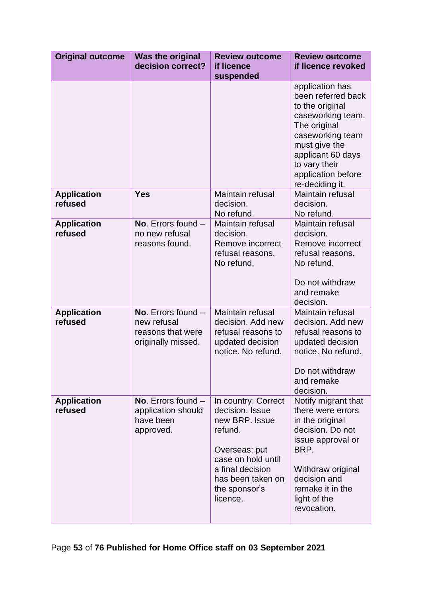| <b>Original outcome</b>       | <b>Was the original</b><br>decision correct?                                   | <b>Review outcome</b><br>if licence<br>suspended                                                                                                                                 | <b>Review outcome</b><br>if licence revoked                                                                                                                                                                       |
|-------------------------------|--------------------------------------------------------------------------------|----------------------------------------------------------------------------------------------------------------------------------------------------------------------------------|-------------------------------------------------------------------------------------------------------------------------------------------------------------------------------------------------------------------|
|                               |                                                                                |                                                                                                                                                                                  | application has<br>been referred back<br>to the original<br>caseworking team.<br>The original<br>caseworking team<br>must give the<br>applicant 60 days<br>to vary their<br>application before<br>re-deciding it. |
| <b>Application</b><br>refused | <b>Yes</b>                                                                     | Maintain refusal<br>decision.<br>No refund.                                                                                                                                      | Maintain refusal<br>decision.<br>No refund.                                                                                                                                                                       |
| <b>Application</b><br>refused | No. Errors found $-$<br>no new refusal<br>reasons found.                       | Maintain refusal<br>decision.<br>Remove incorrect<br>refusal reasons.<br>No refund.                                                                                              | Maintain refusal<br>decision.<br>Remove incorrect<br>refusal reasons.<br>No refund.<br>Do not withdraw<br>and remake<br>decision.                                                                                 |
| <b>Application</b><br>refused | No. Errors found $-$<br>new refusal<br>reasons that were<br>originally missed. | Maintain refusal<br>decision. Add new<br>refusal reasons to<br>updated decision<br>notice. No refund.                                                                            | Maintain refusal<br>decision. Add new<br>refusal reasons to<br>updated decision<br>notice. No refund.<br>Do not withdraw<br>and remake<br>decision.                                                               |
| <b>Application</b><br>refused | No. Errors found $-$<br>application should<br>have been<br>approved.           | In country: Correct<br>decision. Issue<br>new BRP. Issue<br>refund.<br>Overseas: put<br>case on hold until<br>a final decision<br>has been taken on<br>the sponsor's<br>licence. | Notify migrant that<br>there were errors<br>in the original<br>decision. Do not<br>issue approval or<br>BRP.<br>Withdraw original<br>decision and<br>remake it in the<br>light of the<br>revocation.              |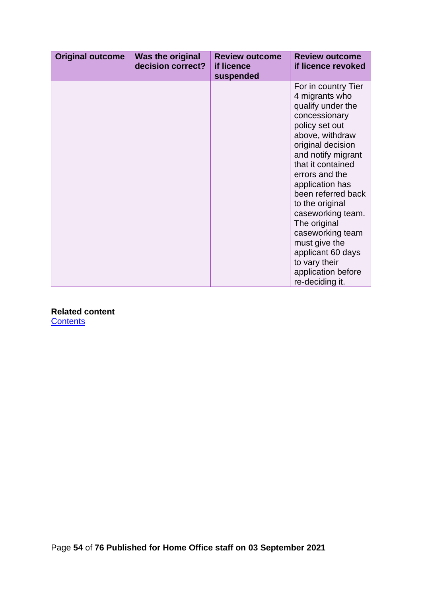| <b>Original outcome</b> | <b>Was the original</b><br>decision correct? | <b>Review outcome</b><br>if licence<br>suspended | <b>Review outcome</b><br>if licence revoked                                                                                                                                                                                                                                                                                                                                                                             |
|-------------------------|----------------------------------------------|--------------------------------------------------|-------------------------------------------------------------------------------------------------------------------------------------------------------------------------------------------------------------------------------------------------------------------------------------------------------------------------------------------------------------------------------------------------------------------------|
|                         |                                              |                                                  | For in country Tier<br>4 migrants who<br>qualify under the<br>concessionary<br>policy set out<br>above, withdraw<br>original decision<br>and notify migrant<br>that it contained<br>errors and the<br>application has<br>been referred back<br>to the original<br>caseworking team.<br>The original<br>caseworking team<br>must give the<br>applicant 60 days<br>to vary their<br>application before<br>re-deciding it. |

**Related content [Contents](#page-1-0)** 

Page **54** of **76 Published for Home Office staff on 03 September 2021**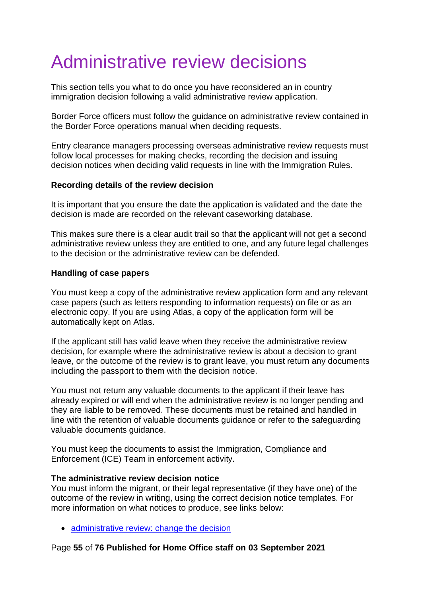# Administrative review decisions

This section tells you what to do once you have reconsidered an in country immigration decision following a valid administrative review application.

Border Force officers must follow the guidance on administrative review contained in the Border Force operations manual when deciding requests.

Entry clearance managers processing overseas administrative review requests must follow local processes for making checks, recording the decision and issuing decision notices when deciding valid requests in line with the Immigration Rules.

# **Recording details of the review decision**

It is important that you ensure the date the application is validated and the date the decision is made are recorded on the relevant caseworking database.

This makes sure there is a clear audit trail so that the applicant will not get a second administrative review unless they are entitled to one, and any future legal challenges to the decision or the administrative review can be defended.

# **Handling of case papers**

You must keep a copy of the administrative review application form and any relevant case papers (such as letters responding to information requests) on file or as an electronic copy. If you are using Atlas, a copy of the application form will be automatically kept on Atlas.

If the applicant still has valid leave when they receive the administrative review decision, for example where the administrative review is about a decision to grant leave, or the outcome of the review is to grant leave, you must return any documents including the passport to them with the decision notice.

You must not return any valuable documents to the applicant if their leave has already expired or will end when the administrative review is no longer pending and they are liable to be removed. These documents must be retained and handled in line with the retention of valuable documents guidance or refer to the safeguarding valuable documents guidance.

You must keep the documents to assist the Immigration, Compliance and Enforcement (ICE) Team in enforcement activity.

# **The administrative review decision notice**

You must inform the migrant, or their legal representative (if they have one) of the outcome of the review in writing, using the correct decision notice templates. For more information on what notices to produce, see links below:

• [administrative review: change the decision](#page-55-0)

# Page **55** of **76 Published for Home Office staff on 03 September 2021**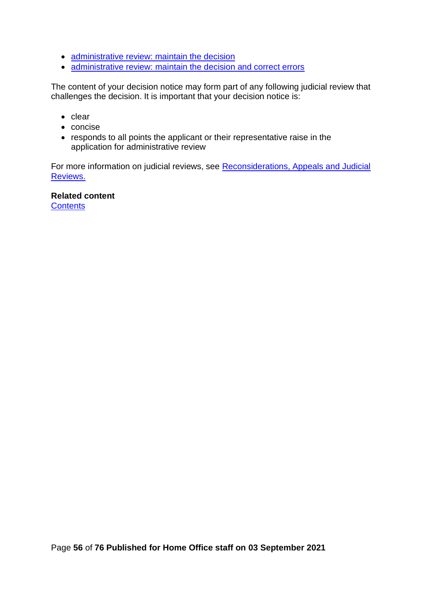- [administrative review: maintain the decision](#page-57-0)
- [administrative review: maintain the decision and correct errors](#page-60-0)

The content of your decision notice may form part of any following judicial review that challenges the decision. It is important that your decision notice is:

- clear
- concise
- responds to all points the applicant or their representative raise in the application for administrative review

For more information on judicial reviews, see [Reconsiderations, Appeals and Judicial](#page-73-0)  [Reviews.](#page-73-0)

<span id="page-55-0"></span>**Related content [Contents](#page-1-0)**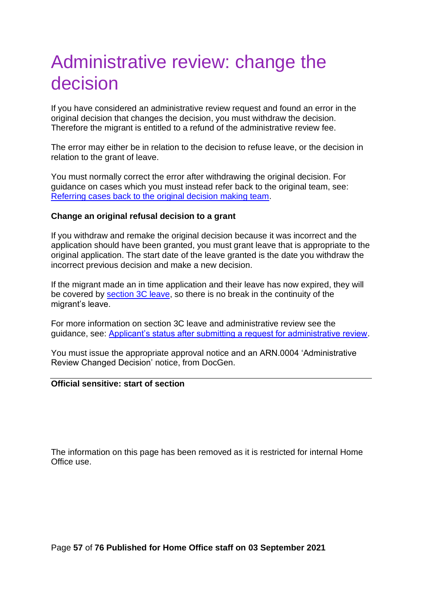# Administrative review: change the decision

If you have considered an administrative review request and found an error in the original decision that changes the decision, you must withdraw the decision. Therefore the migrant is entitled to a refund of the administrative review fee.

The error may either be in relation to the decision to refuse leave, or the decision in relation to the grant of leave.

You must normally correct the error after withdrawing the original decision. For guidance on cases which you must instead refer back to the original team, see: [Referring cases back to the original decision making team.](#page-47-0)

# **Change an original refusal decision to a grant**

If you withdraw and remake the original decision because it was incorrect and the application should have been granted, you must grant leave that is appropriate to the original application. The start date of the leave granted is the date you withdraw the incorrect previous decision and make a new decision.

If the migrant made an in time application and their leave has now expired, they will be covered by [section 3C leave,](https://ukhomeoffice.sharepoint.com/sites/BICSGuidance/SitePages/3c-and-3d-leave.aspx) so there is no break in the continuity of the migrant's leave.

For more information on section 3C leave and administrative review see the guidance, see: [Applicant's status after submitting a request for administrative review.](#page-68-0)

You must issue the appropriate approval notice and an ARN.0004 'Administrative Review Changed Decision' notice, from DocGen.

#### **Official sensitive: start of section**

The information on this page has been removed as it is restricted for internal Home Office use.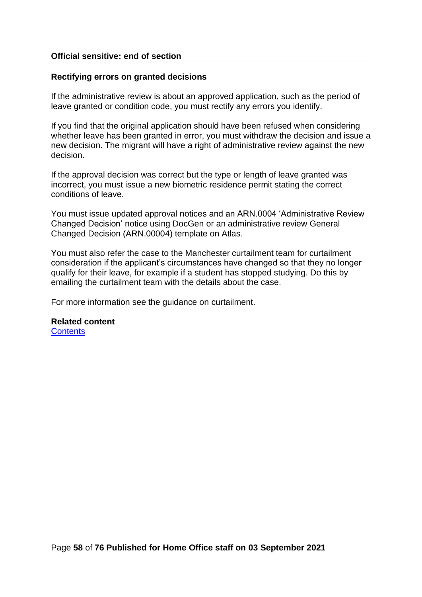# **Official sensitive: end of section**

#### **Rectifying errors on granted decisions**

If the administrative review is about an approved application, such as the period of leave granted or condition code, you must rectify any errors you identify.

If you find that the original application should have been refused when considering whether leave has been granted in error, you must withdraw the decision and issue a new decision. The migrant will have a right of administrative review against the new decision.

If the approval decision was correct but the type or length of leave granted was incorrect, you must issue a new biometric residence permit stating the correct conditions of leave.

You must issue updated approval notices and an ARN.0004 'Administrative Review Changed Decision' notice using DocGen or an administrative review General Changed Decision (ARN.00004) template on Atlas.

You must also refer the case to the Manchester curtailment team for curtailment consideration if the applicant's circumstances have changed so that they no longer qualify for their leave, for example if a student has stopped studying. Do this by emailing the curtailment team with the details about the case.

For more information see the guidance on curtailment.

#### <span id="page-57-0"></span>**Related content [Contents](#page-1-0)**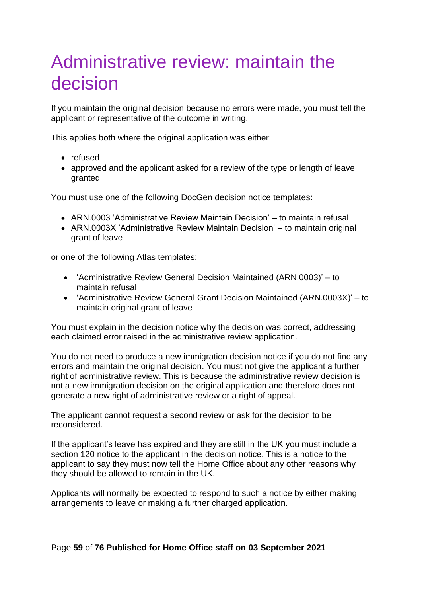# Administrative review: maintain the decision

If you maintain the original decision because no errors were made, you must tell the applicant or representative of the outcome in writing.

This applies both where the original application was either:

- refused
- approved and the applicant asked for a review of the type or length of leave granted

You must use one of the following DocGen decision notice templates:

- ARN.0003 'Administrative Review Maintain Decision' to maintain refusal
- ARN.0003X 'Administrative Review Maintain Decision' to maintain original grant of leave

or one of the following Atlas templates:

- 'Administrative Review General Decision Maintained (ARN.0003)' to maintain refusal
- 'Administrative Review General Grant Decision Maintained (ARN.0003X)' to maintain original grant of leave

You must explain in the decision notice why the decision was correct, addressing each claimed error raised in the administrative review application.

You do not need to produce a new immigration decision notice if you do not find any errors and maintain the original decision. You must not give the applicant a further right of administrative review. This is because the administrative review decision is not a new immigration decision on the original application and therefore does not generate a new right of administrative review or a right of appeal.

The applicant cannot request a second review or ask for the decision to be reconsidered.

If the applicant's leave has expired and they are still in the UK you must include a section 120 notice to the applicant in the decision notice. This is a notice to the applicant to say they must now tell the Home Office about any other reasons why they should be allowed to remain in the UK.

Applicants will normally be expected to respond to such a notice by either making arrangements to leave or making a further charged application.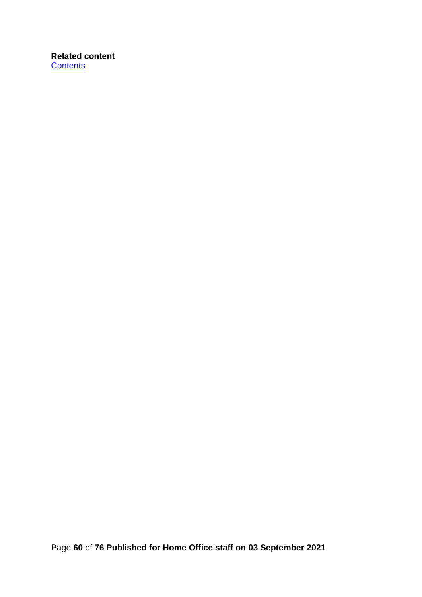# **Related content [Contents](#page-1-0)**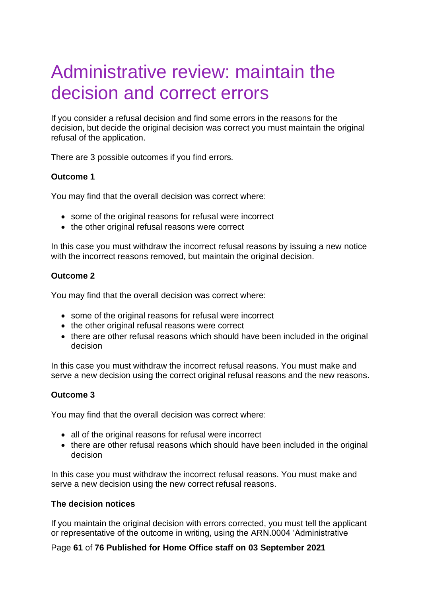# <span id="page-60-0"></span>Administrative review: maintain the decision and correct errors

If you consider a refusal decision and find some errors in the reasons for the decision, but decide the original decision was correct you must maintain the original refusal of the application.

There are 3 possible outcomes if you find errors.

# **Outcome 1**

You may find that the overall decision was correct where:

- some of the original reasons for refusal were incorrect
- the other original refusal reasons were correct

In this case you must withdraw the incorrect refusal reasons by issuing a new notice with the incorrect reasons removed, but maintain the original decision.

# **Outcome 2**

You may find that the overall decision was correct where:

- some of the original reasons for refusal were incorrect
- the other original refusal reasons were correct
- there are other refusal reasons which should have been included in the original decision

In this case you must withdraw the incorrect refusal reasons. You must make and serve a new decision using the correct original refusal reasons and the new reasons.

# **Outcome 3**

You may find that the overall decision was correct where:

- all of the original reasons for refusal were incorrect
- there are other refusal reasons which should have been included in the original decision

In this case you must withdraw the incorrect refusal reasons. You must make and serve a new decision using the new correct refusal reasons.

# **The decision notices**

If you maintain the original decision with errors corrected, you must tell the applicant or representative of the outcome in writing, using the ARN.0004 'Administrative

# Page **61** of **76 Published for Home Office staff on 03 September 2021**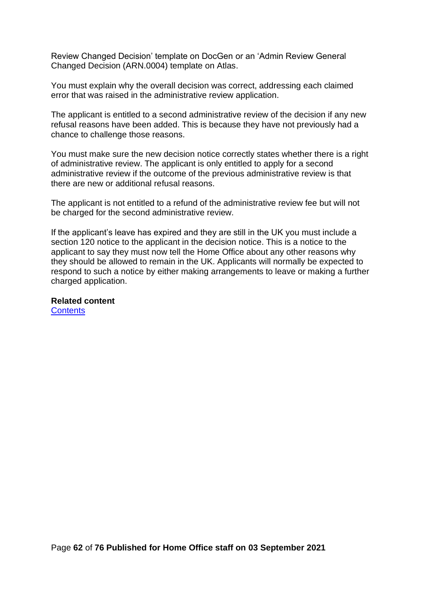Review Changed Decision' template on DocGen or an 'Admin Review General Changed Decision (ARN.0004) template on Atlas.

You must explain why the overall decision was correct, addressing each claimed error that was raised in the administrative review application.

The applicant is entitled to a second administrative review of the decision if any new refusal reasons have been added. This is because they have not previously had a chance to challenge those reasons.

You must make sure the new decision notice correctly states whether there is a right of administrative review. The applicant is only entitled to apply for a second administrative review if the outcome of the previous administrative review is that there are new or additional refusal reasons.

The applicant is not entitled to a refund of the administrative review fee but will not be charged for the second administrative review.

If the applicant's leave has expired and they are still in the UK you must include a section 120 notice to the applicant in the decision notice. This is a notice to the applicant to say they must now tell the Home Office about any other reasons why they should be allowed to remain in the UK. Applicants will normally be expected to respond to such a notice by either making arrangements to leave or making a further charged application.

**Related content [Contents](#page-1-0)**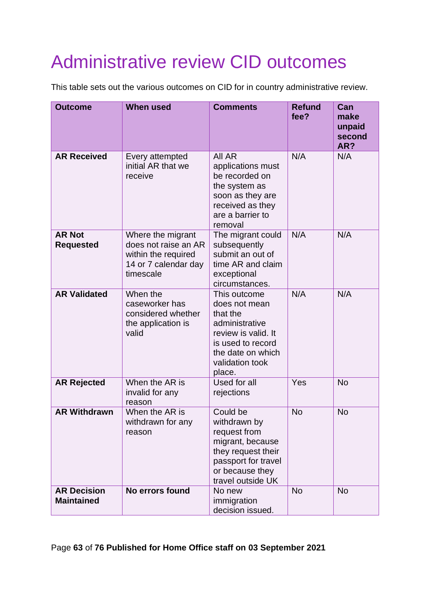# Administrative review CID outcomes

This table sets out the various outcomes on CID for in country administrative review.

| <b>Outcome</b>                          | <b>When used</b>                                                                                      | <b>Comments</b>                                                                                                                                           | <b>Refund</b><br>fee? | Can<br>make<br>unpaid<br>second<br>AR? |
|-----------------------------------------|-------------------------------------------------------------------------------------------------------|-----------------------------------------------------------------------------------------------------------------------------------------------------------|-----------------------|----------------------------------------|
| <b>AR Received</b>                      | Every attempted<br>initial AR that we<br>receive                                                      | All AR<br>applications must<br>be recorded on<br>the system as<br>soon as they are<br>received as they<br>are a barrier to<br>removal                     | N/A                   | N/A                                    |
| <b>AR Not</b><br><b>Requested</b>       | Where the migrant<br>does not raise an AR<br>within the required<br>14 or 7 calendar day<br>timescale | The migrant could<br>subsequently<br>submit an out of<br>time AR and claim<br>exceptional<br>circumstances.                                               | N/A                   | N/A                                    |
| <b>AR Validated</b>                     | When the<br>caseworker has<br>considered whether<br>the application is<br>valid                       | This outcome<br>does not mean<br>that the<br>administrative<br>review is valid. It<br>is used to record<br>the date on which<br>validation took<br>place. | N/A                   | N/A                                    |
| <b>AR Rejected</b>                      | When the AR is<br>invalid for any<br>reason                                                           | Used for all<br>rejections                                                                                                                                | Yes                   | <b>No</b>                              |
| <b>AR Withdrawn</b>                     | When the AR is<br>withdrawn for any<br>reason                                                         | Could be<br>withdrawn by<br>request from<br>migrant, because<br>they request their<br>passport for travel<br>or because they<br>travel outside UK         | <b>No</b>             | <b>No</b>                              |
| <b>AR Decision</b><br><b>Maintained</b> | No errors found                                                                                       | No new<br>immigration<br>decision issued.                                                                                                                 | <b>No</b>             | <b>No</b>                              |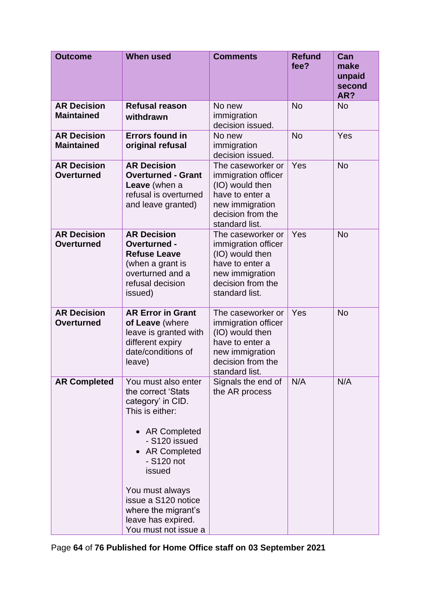| <b>Outcome</b>                          | <b>When used</b>                                                                                                                                                                                                                                                                   | <b>Comments</b>                                                                                                                          | <b>Refund</b><br>fee? | Can<br>make<br>unpaid<br>second<br>AR? |
|-----------------------------------------|------------------------------------------------------------------------------------------------------------------------------------------------------------------------------------------------------------------------------------------------------------------------------------|------------------------------------------------------------------------------------------------------------------------------------------|-----------------------|----------------------------------------|
| <b>AR Decision</b><br><b>Maintained</b> | <b>Refusal reason</b><br>withdrawn                                                                                                                                                                                                                                                 | No new<br>immigration<br>decision issued.                                                                                                | <b>No</b>             | <b>No</b>                              |
| <b>AR Decision</b><br><b>Maintained</b> | <b>Errors found in</b><br>original refusal                                                                                                                                                                                                                                         | No new<br>immigration<br>decision issued.                                                                                                | <b>No</b>             | Yes                                    |
| <b>AR Decision</b><br><b>Overturned</b> | <b>AR Decision</b><br><b>Overturned - Grant</b><br>Leave (when a<br>refusal is overturned<br>and leave granted)                                                                                                                                                                    | The caseworker or<br>immigration officer<br>(IO) would then<br>have to enter a<br>new immigration<br>decision from the<br>standard list. | Yes                   | <b>No</b>                              |
| <b>AR Decision</b><br><b>Overturned</b> | <b>AR Decision</b><br>Overturned -<br><b>Refuse Leave</b><br>(when a grant is<br>overturned and a<br>refusal decision<br>issued)                                                                                                                                                   | The caseworker or<br>immigration officer<br>(IO) would then<br>have to enter a<br>new immigration<br>decision from the<br>standard list. | Yes                   | <b>No</b>                              |
| <b>AR Decision</b><br><b>Overturned</b> | <b>AR Error in Grant</b><br>of Leave (where<br>leave is granted with<br>different expiry<br>date/conditions of<br>leave)                                                                                                                                                           | The caseworker or<br>immigration officer<br>(IO) would then<br>have to enter a<br>new immigration<br>decision from the<br>standard list. | Yes                   | <b>No</b>                              |
| <b>AR Completed</b>                     | You must also enter<br>the correct 'Stats<br>category' in CID.<br>This is either:<br>• AR Completed<br>- S120 issued<br><b>AR Completed</b><br>- S120 not<br>issued<br>You must always<br>issue a S120 notice<br>where the migrant's<br>leave has expired.<br>You must not issue a | Signals the end of<br>the AR process                                                                                                     | N/A                   | N/A                                    |

Page **64** of **76 Published for Home Office staff on 03 September 2021**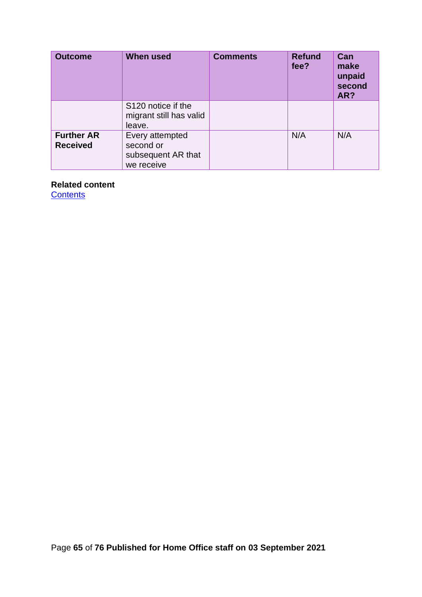| <b>Outcome</b>                       | <b>When used</b>                                                 | <b>Comments</b> | <b>Refund</b><br>fee? | Can<br>make<br>unpaid<br>second<br>AR? |
|--------------------------------------|------------------------------------------------------------------|-----------------|-----------------------|----------------------------------------|
|                                      | S120 notice if the<br>migrant still has valid<br>leave.          |                 |                       |                                        |
| <b>Further AR</b><br><b>Received</b> | Every attempted<br>second or<br>subsequent AR that<br>we receive |                 | N/A                   | N/A                                    |

# **Related content**

**[Contents](#page-1-0)**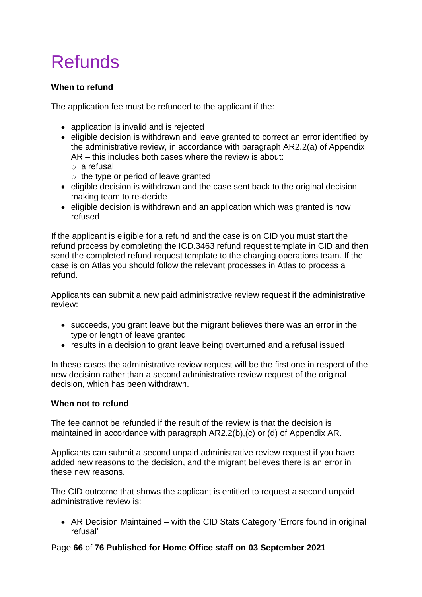# Refunds

# **When to refund**

The application fee must be refunded to the applicant if the:

- application is invalid and is rejected
- eligible decision is withdrawn and leave granted to correct an error identified by the administrative review, in accordance with paragraph AR2.2(a) of Appendix AR – this includes both cases where the review is about:
	- o a refusal
	- $\circ$  the type or period of leave granted
- eligible decision is withdrawn and the case sent back to the original decision making team to re-decide
- eligible decision is withdrawn and an application which was granted is now refused

If the applicant is eligible for a refund and the case is on CID you must start the refund process by completing the ICD.3463 refund request template in CID and then send the completed refund request template to the charging operations team. If the case is on Atlas you should follow the relevant processes in Atlas to process a refund.

Applicants can submit a new paid administrative review request if the administrative review:

- succeeds, you grant leave but the migrant believes there was an error in the type or length of leave granted
- results in a decision to grant leave being overturned and a refusal issued

In these cases the administrative review request will be the first one in respect of the new decision rather than a second administrative review request of the original decision, which has been withdrawn.

# **When not to refund**

The fee cannot be refunded if the result of the review is that the decision is maintained in accordance with paragraph AR2.2(b),(c) or (d) of Appendix AR.

Applicants can submit a second unpaid administrative review request if you have added new reasons to the decision, and the migrant believes there is an error in these new reasons.

The CID outcome that shows the applicant is entitled to request a second unpaid administrative review is:

• AR Decision Maintained – with the CID Stats Category 'Errors found in original refusal'

# Page **66** of **76 Published for Home Office staff on 03 September 2021**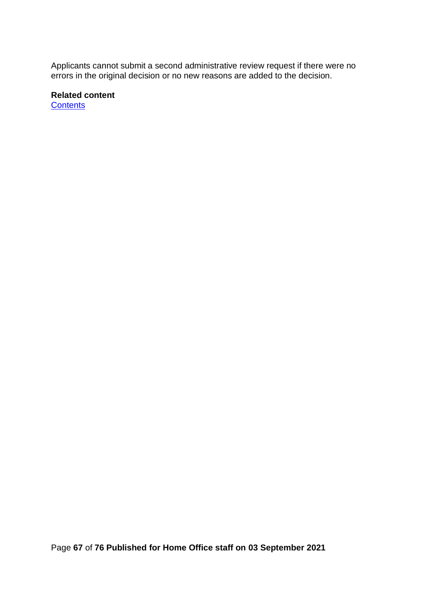Applicants cannot submit a second administrative review request if there were no errors in the original decision or no new reasons are added to the decision.

**Related content [Contents](#page-1-0)** 

Page **67** of **76 Published for Home Office staff on 03 September 2021**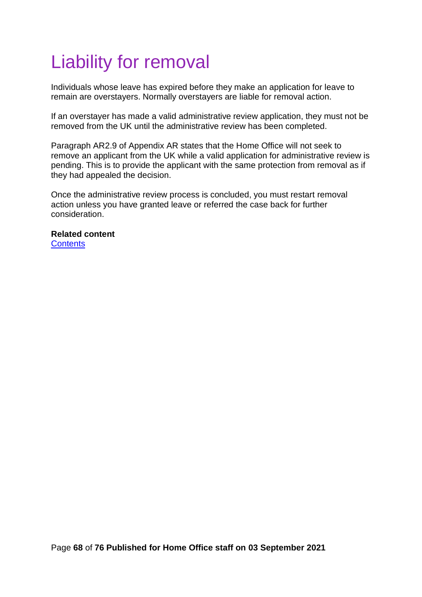# <span id="page-67-0"></span>Liability for removal

Individuals whose leave has expired before they make an application for leave to remain are overstayers. Normally overstayers are liable for removal action.

If an overstayer has made a valid administrative review application, they must not be removed from the UK until the administrative review has been completed.

Paragraph AR2.9 of Appendix AR states that the Home Office will not seek to remove an applicant from the UK while a valid application for administrative review is pending. This is to provide the applicant with the same protection from removal as if they had appealed the decision.

Once the administrative review process is concluded, you must restart removal action unless you have granted leave or referred the case back for further consideration.

**Related content [Contents](#page-1-0)**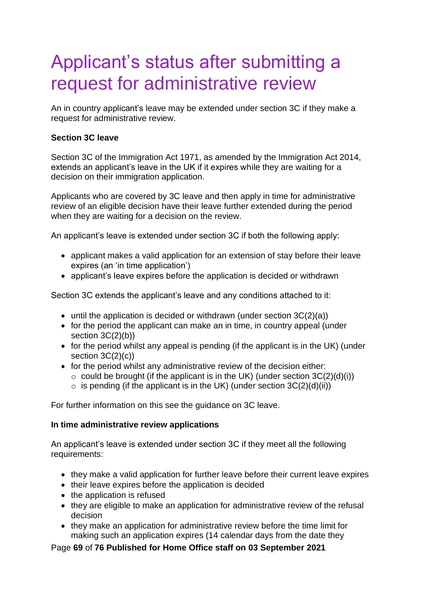# <span id="page-68-0"></span>Applicant's status after submitting a request for administrative review

An in country applicant's leave may be extended under section 3C if they make a request for administrative review.

# **Section 3C leave**

Section 3C of the Immigration Act 1971, as amended by the Immigration Act 2014, extends an applicant's leave in the UK if it expires while they are waiting for a decision on their immigration application.

Applicants who are covered by 3C leave and then apply in time for administrative review of an eligible decision have their leave further extended during the period when they are waiting for a decision on the review.

An applicant's leave is extended under section 3C if both the following apply:

- applicant makes a valid application for an extension of stay before their leave expires (an 'in time application')
- applicant's leave expires before the application is decided or withdrawn

Section 3C extends the applicant's leave and any conditions attached to it:

- until the application is decided or withdrawn (under section 3C(2)(a))
- for the period the applicant can make an in time, in country appeal (under section 3C(2)(b))
- for the period whilst any appeal is pending (if the applicant is in the UK) (under section 3C(2)(c))
- for the period whilst any administrative review of the decision either:
	- $\circ$  could be brought (if the applicant is in the UK) (under section 3C(2)(d)(i))
	- $\circ$  is pending (if the applicant is in the UK) (under section 3C(2)(d)(ii))

For further information on this see the guidance on 3C leave.

# **In time administrative review applications**

An applicant's leave is extended under section 3C if they meet all the following requirements:

- they make a valid application for further leave before their current leave expires
- their leave expires before the application is decided
- the application is refused
- they are eligible to make an application for administrative review of the refusal decision
- they make an application for administrative review before the time limit for making such an application expires (14 calendar days from the date they

Page **69** of **76 Published for Home Office staff on 03 September 2021**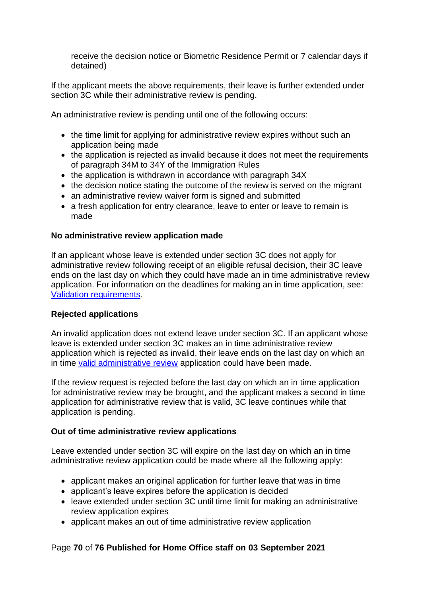receive the decision notice or Biometric Residence Permit or 7 calendar days if detained)

If the applicant meets the above requirements, their leave is further extended under section 3C while their administrative review is pending.

An administrative review is pending until one of the following occurs:

- the time limit for applying for administrative review expires without such an application being made
- the application is rejected as invalid because it does not meet the requirements of paragraph 34M to 34Y of the Immigration Rules
- the application is withdrawn in accordance with paragraph 34X
- the decision notice stating the outcome of the review is served on the migrant
- an administrative review waiver form is signed and submitted
- a fresh application for entry clearance, leave to enter or leave to remain is made

# **No administrative review application made**

If an applicant whose leave is extended under section 3C does not apply for administrative review following receipt of an eligible refusal decision, their 3C leave ends on the last day on which they could have made an in time administrative review application. For information on the deadlines for making an in time application, see: [Validation requirements.](#page-43-0)

# **Rejected applications**

An invalid application does not extend leave under section 3C. If an applicant whose leave is extended under section 3C makes an in time administrative review application which is rejected as invalid, their leave ends on the last day on which an in time [valid administrative review](#page-42-0) application could have been made.

If the review request is rejected before the last day on which an in time application for administrative review may be brought, and the applicant makes a second in time application for administrative review that is valid, 3C leave continues while that application is pending.

# **Out of time administrative review applications**

Leave extended under section 3C will expire on the last day on which an in time administrative review application could be made where all the following apply:

- applicant makes an original application for further leave that was in time
- applicant's leave expires before the application is decided
- leave extended under section 3C until time limit for making an administrative review application expires
- applicant makes an out of time administrative review application

# Page **70** of **76 Published for Home Office staff on 03 September 2021**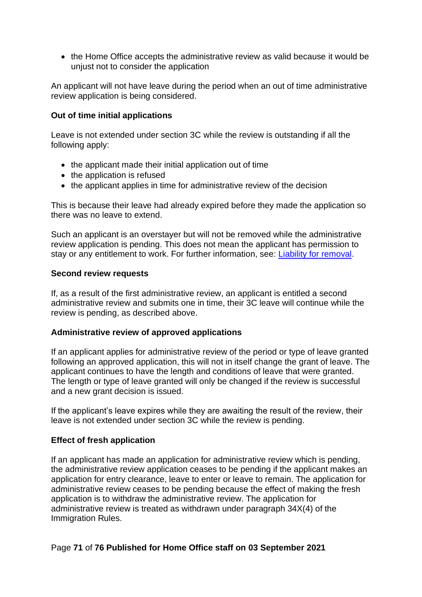• the Home Office accepts the administrative review as valid because it would be unjust not to consider the application

An applicant will not have leave during the period when an out of time administrative review application is being considered.

# **Out of time initial applications**

Leave is not extended under section 3C while the review is outstanding if all the following apply:

- the applicant made their initial application out of time
- the application is refused
- the applicant applies in time for administrative review of the decision

This is because their leave had already expired before they made the application so there was no leave to extend.

Such an applicant is an overstayer but will not be removed while the administrative review application is pending. This does not mean the applicant has permission to stay or any entitlement to work. For further information, see: [Liability for removal.](#page-67-0)

# **Second review requests**

If, as a result of the first administrative review, an applicant is entitled a second administrative review and submits one in time, their 3C leave will continue while the review is pending, as described above.

# **Administrative review of approved applications**

If an applicant applies for administrative review of the period or type of leave granted following an approved application, this will not in itself change the grant of leave. The applicant continues to have the length and conditions of leave that were granted. The length or type of leave granted will only be changed if the review is successful and a new grant decision is issued.

If the applicant's leave expires while they are awaiting the result of the review, their leave is not extended under section 3C while the review is pending.

# **Effect of fresh application**

If an applicant has made an application for administrative review which is pending, the administrative review application ceases to be pending if the applicant makes an application for entry clearance, leave to enter or leave to remain. The application for administrative review ceases to be pending because the effect of making the fresh application is to withdraw the administrative review. The application for administrative review is treated as withdrawn under paragraph 34X(4) of the Immigration Rules.

# Page **71** of **76 Published for Home Office staff on 03 September 2021**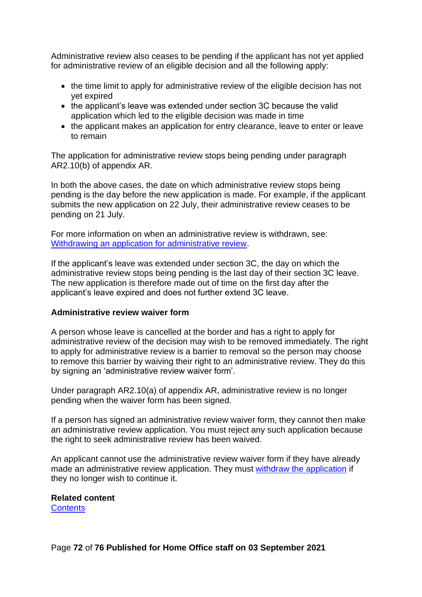Administrative review also ceases to be pending if the applicant has not yet applied for administrative review of an eligible decision and all the following apply:

- the time limit to apply for administrative review of the eligible decision has not yet expired
- the applicant's leave was extended under section 3C because the valid application which led to the eligible decision was made in time
- the applicant makes an application for entry clearance, leave to enter or leave to remain

The application for administrative review stops being pending under paragraph AR2.10(b) of appendix AR.

In both the above cases, the date on which administrative review stops being pending is the day before the new application is made. For example, if the applicant submits the new application on 22 July, their administrative review ceases to be pending on 21 July.

For more information on when an administrative review is withdrawn, see: Withdrawing [an application for administrative review.](#page-72-0)

If the applicant's leave was extended under section 3C, the day on which the administrative review stops being pending is the last day of their section 3C leave. The new application is therefore made out of time on the first day after the applicant's leave expired and does not further extend 3C leave.

# **Administrative review waiver form**

A person whose leave is cancelled at the border and has a right to apply for administrative review of the decision may wish to be removed immediately. The right to apply for administrative review is a barrier to removal so the person may choose to remove this barrier by waiving their right to an administrative review. They do this by signing an 'administrative review waiver form'.

Under paragraph AR2.10(a) of appendix AR, administrative review is no longer pending when the waiver form has been signed.

If a person has signed an administrative review waiver form, they cannot then make an administrative review application. You must reject any such application because the right to seek administrative review has been waived.

An applicant cannot use the administrative review waiver form if they have already made an administrative review application. They must [withdraw the application](#page-72-0) if they no longer wish to continue it.

# **Related content**

**[Contents](#page-1-0)**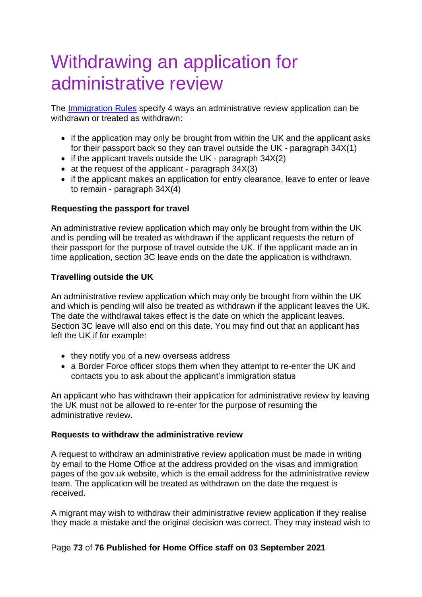# Withdrawing an application for administrative review

The [Immigration Rules](https://www.gov.uk/guidance/immigration-rules/immigration-rules-part-1-leave-to-enter-or-stay-in-the-uk) specify 4 ways an administrative review application can be withdrawn or treated as withdrawn:

- if the application may only be brought from within the UK and the applicant asks for their passport back so they can travel outside the UK - paragraph 34X(1)
- if the applicant travels outside the UK paragraph 34X(2)
- at the request of the applicant paragraph 34X(3)
- if the applicant makes an application for entry clearance, leave to enter or leave to remain - paragraph 34X(4)

# **Requesting the passport for travel**

An administrative review application which may only be brought from within the UK and is pending will be treated as withdrawn if the applicant requests the return of their passport for the purpose of travel outside the UK. If the applicant made an in time application, section 3C leave ends on the date the application is withdrawn.

# **Travelling outside the UK**

An administrative review application which may only be brought from within the UK and which is pending will also be treated as withdrawn if the applicant leaves the UK. The date the withdrawal takes effect is the date on which the applicant leaves. Section 3C leave will also end on this date. You may find out that an applicant has left the UK if for example:

- they notify you of a new overseas address
- a Border Force officer stops them when they attempt to re-enter the UK and contacts you to ask about the applicant's immigration status

An applicant who has withdrawn their application for administrative review by leaving the UK must not be allowed to re-enter for the purpose of resuming the administrative review.

# **Requests to withdraw the administrative review**

A request to withdraw an administrative review application must be made in writing by email to the Home Office at the address provided on the visas and immigration pages of the gov.uk website, which is the email address for the administrative review team. The application will be treated as withdrawn on the date the request is received.

A migrant may wish to withdraw their administrative review application if they realise they made a mistake and the original decision was correct. They may instead wish to

# Page **73** of **76 Published for Home Office staff on 03 September 2021**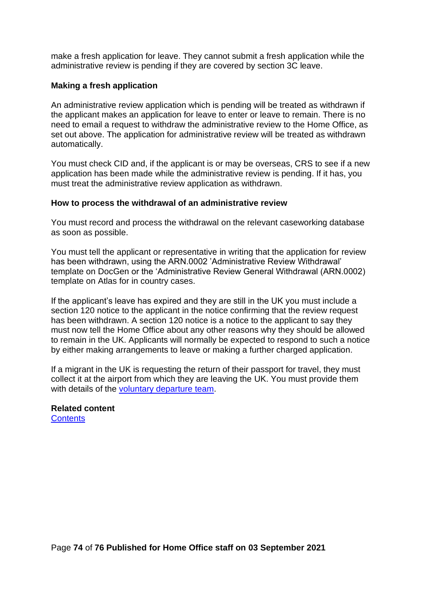make a fresh application for leave. They cannot submit a fresh application while the administrative review is pending if they are covered by section 3C leave.

#### **Making a fresh application**

An administrative review application which is pending will be treated as withdrawn if the applicant makes an application for leave to enter or leave to remain. There is no need to email a request to withdraw the administrative review to the Home Office, as set out above. The application for administrative review will be treated as withdrawn automatically.

You must check CID and, if the applicant is or may be overseas, CRS to see if a new application has been made while the administrative review is pending. If it has, you must treat the administrative review application as withdrawn.

#### **How to process the withdrawal of an administrative review**

You must record and process the withdrawal on the relevant caseworking database as soon as possible.

You must tell the applicant or representative in writing that the application for review has been withdrawn, using the ARN.0002 'Administrative Review Withdrawal' template on DocGen or the 'Administrative Review General Withdrawal (ARN.0002) template on Atlas for in country cases.

If the applicant's leave has expired and they are still in the UK you must include a section 120 notice to the applicant in the notice confirming that the review request has been withdrawn. A section 120 notice is a notice to the applicant to say they must now tell the Home Office about any other reasons why they should be allowed to remain in the UK. Applicants will normally be expected to respond to such a notice by either making arrangements to leave or making a further charged application.

If a migrant in the UK is requesting the return of their passport for travel, they must collect it at the airport from which they are leaving the UK. You must provide them with details of the [voluntary departure team.](https://horizon.homeoffice.gov.uk/teams/home-office-hq/borders-and-enforcement/immigration-enforcement/operations/north-midlands-and-wales-ice/west-midlands/nrc-voluntary-departures)

**Related content [Contents](#page-1-0)**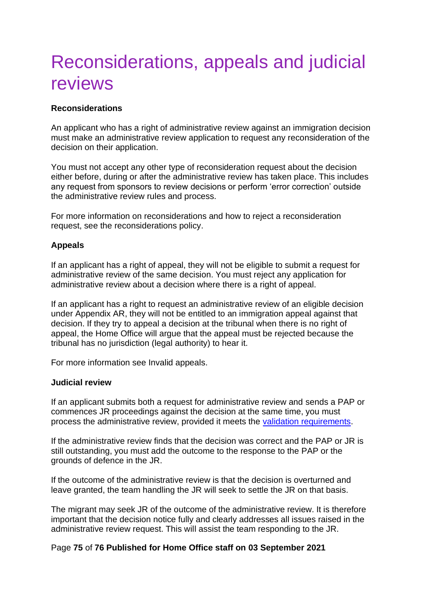# Reconsiderations, appeals and judicial reviews

### **Reconsiderations**

An applicant who has a right of administrative review against an immigration decision must make an administrative review application to request any reconsideration of the decision on their application.

You must not accept any other type of reconsideration request about the decision either before, during or after the administrative review has taken place. This includes any request from sponsors to review decisions or perform 'error correction' outside the administrative review rules and process.

For more information on reconsiderations and how to reject a reconsideration request, see the reconsiderations policy.

#### **Appeals**

If an applicant has a right of appeal, they will not be eligible to submit a request for administrative review of the same decision. You must reject any application for administrative review about a decision where there is a right of appeal.

If an applicant has a right to request an administrative review of an eligible decision under Appendix AR, they will not be entitled to an immigration appeal against that decision. If they try to appeal a decision at the tribunal when there is no right of appeal, the Home Office will argue that the appeal must be rejected because the tribunal has no jurisdiction (legal authority) to hear it.

For more information see Invalid appeals.

#### **Judicial review**

If an applicant submits both a request for administrative review and sends a PAP or commences JR proceedings against the decision at the same time, you must process the administrative review, provided it meets the [validation requirements.](#page-42-0)

If the administrative review finds that the decision was correct and the PAP or JR is still outstanding, you must add the outcome to the response to the PAP or the grounds of defence in the JR.

If the outcome of the administrative review is that the decision is overturned and leave granted, the team handling the JR will seek to settle the JR on that basis.

The migrant may seek JR of the outcome of the administrative review. It is therefore important that the decision notice fully and clearly addresses all issues raised in the administrative review request. This will assist the team responding to the JR.

#### Page **75** of **76 Published for Home Office staff on 03 September 2021**